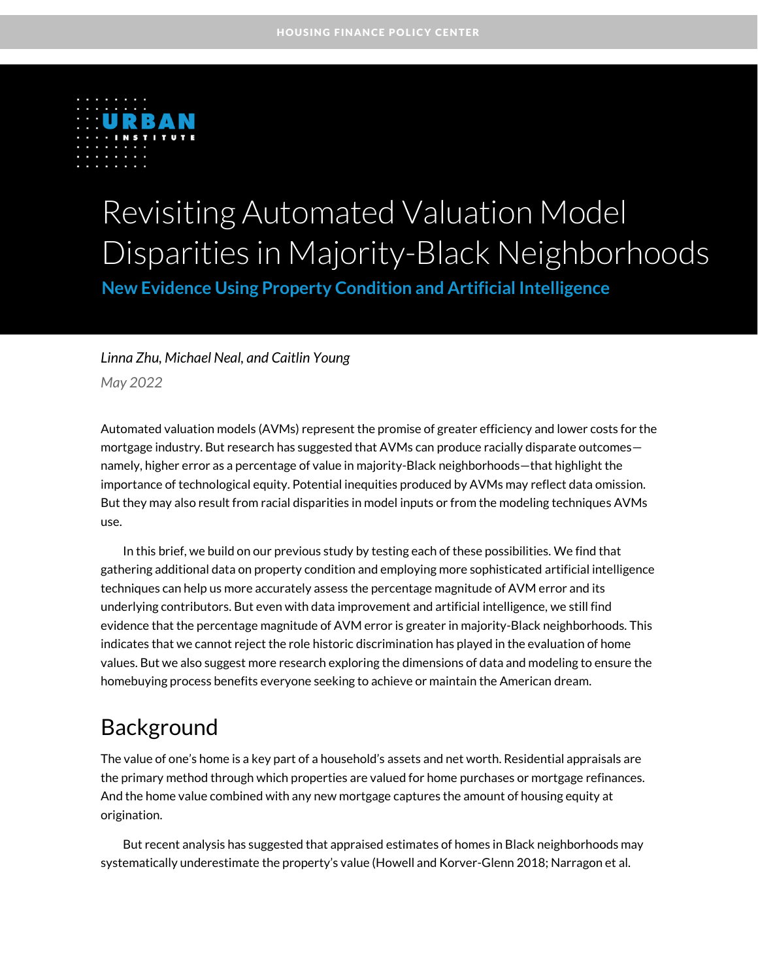

# Revisiting Automated Valuation Model Disparities in Majority-Black Neighborhoods **New Evidence Using Property Condition and Artificial Intelligence**

### *Linna Zhu, Michael Neal, and Caitlin Young*

*May 2022*

Automated valuation models (AVMs) represent the promise of greater efficiency and lower costs for the mortgage industry. But research has suggested that AVMs can produce racially disparate outcomes namely, higher error as a percentage of value in majority-Black neighborhoods—that highlight the importance of technological equity. Potential inequities produced by AVMs may reflect data omission. But they may also result from racial disparities in model inputs or from the modeling techniques AVMs use.

In this brief, we build on our previous study by testing each of these possibilities. We find that gathering additional data on property condition and employing more sophisticated artificial intelligence techniques can help us more accurately assess the percentage magnitude of AVM error and its underlying contributors. But even with data improvement and artificial intelligence, we still find evidence that the percentage magnitude of AVM error is greater in majority-Black neighborhoods. This indicates that we cannot reject the role historic discrimination has played in the evaluation of home values. But we also suggest more research exploring the dimensions of data and modeling to ensure the homebuying process benefits everyone seeking to achieve or maintain the American dream.

## Background

The value of one's home is a key part of a household's assets and net worth. Residential appraisals are the primary method through which properties are valued for home purchases or mortgage refinances. And the home value combined with any new mortgage captures the amount of housing equity at origination.

But recent analysis has suggested that appraised estimates of homes in Black neighborhoods may systematically underestimate the property's value (Howell and Korver-Glenn 2018; Narragon et al.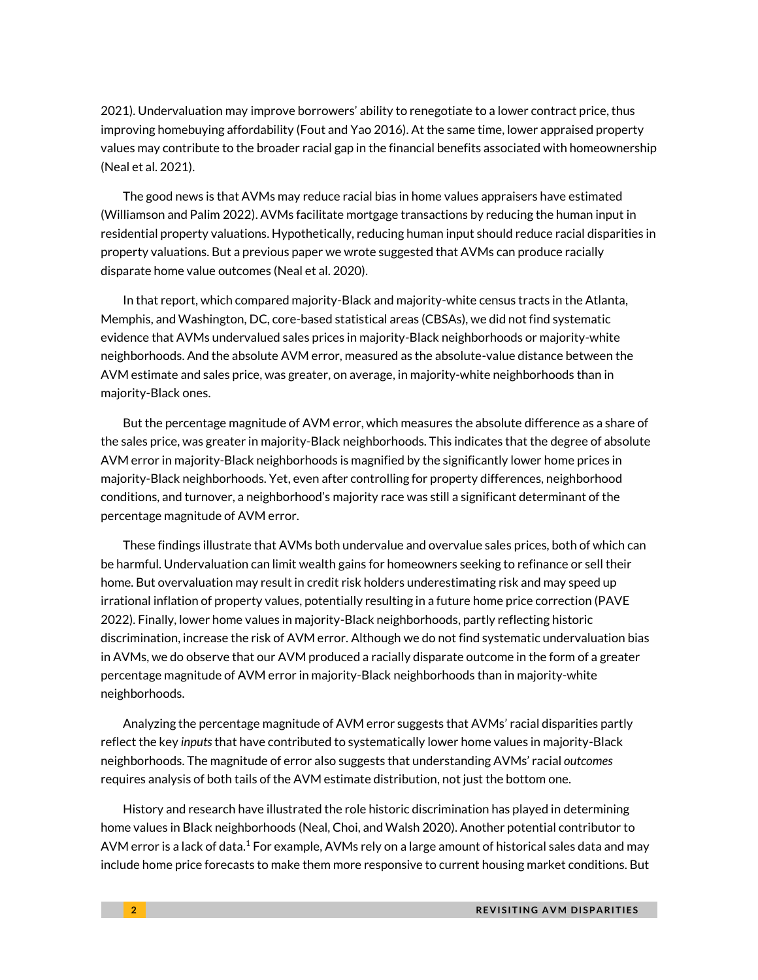2021). Undervaluation may improve borrowers' ability to renegotiate to a lower contract price, thus improving homebuying affordability (Fout and Yao 2016). At the same time, lower appraised property values may contribute to the broader racial gap in the financial benefits associated with homeownership (Neal et al. 2021).

The good news is that AVMs may reduce racial bias in home values appraisers have estimated (Williamson and Palim 2022). AVMs facilitate mortgage transactions by reducing the human input in residential property valuations. Hypothetically, reducing human input should reduce racial disparities in property valuations. But a previous paper we wrote suggested that AVMs can produce racially disparate home value outcomes (Neal et al. 2020).

In that report, which compared majority-Black and majority-white census tracts in the Atlanta, Memphis, and Washington, DC, core-based statistical areas (CBSAs), we did not find systematic evidence that AVMs undervalued sales prices in majority-Black neighborhoods or majority-white neighborhoods. And the absolute AVM error, measured as the absolute-value distance between the AVM estimate and sales price, was greater, on average, in majority-white neighborhoods than in majority-Black ones.

But the percentage magnitude of AVM error, which measures the absolute difference as a share of the sales price, was greater in majority-Black neighborhoods. This indicates that the degree of absolute AVM error in majority-Black neighborhoods is magnified by the significantly lower home prices in majority-Black neighborhoods. Yet, even after controlling for property differences, neighborhood conditions, and turnover, a neighborhood's majority race was still a significant determinant of the percentage magnitude of AVM error.

These findings illustrate that AVMs both undervalue and overvalue sales prices, both of which can be harmful. Undervaluation can limit wealth gains for homeowners seeking to refinance or sell their home. But overvaluation may result in credit risk holders underestimating risk and may speed up irrational inflation of property values, potentially resulting in a future home price correction (PAVE 2022). Finally, lower home values in majority-Black neighborhoods, partly reflecting historic discrimination, increase the risk of AVM error. Although we do not find systematic undervaluation bias in AVMs, we do observe that our AVM produced a racially disparate outcome in the form of a greater percentage magnitude of AVM error in majority-Black neighborhoods than in majority-white neighborhoods.

Analyzing the percentage magnitude of AVM error suggests that AVMs' racial disparities partly reflect the key *inputs*that have contributed to systematically lower home values in majority-Black neighborhoods. The magnitude of error also suggests that understanding AVMs' racial *outcomes* requires analysis of both tails of the AVM estimate distribution, not just the bottom one.

History and research have illustrated the role historic discrimination has played in determining home values in Black neighborhoods (Neal, Choi, and Walsh 2020). Another potential contributor to AVM error is a lack of data. $^1$  For example, AVMs rely on a large amount of historical sales data and may include home price forecasts to make them more responsive to current housing market conditions. But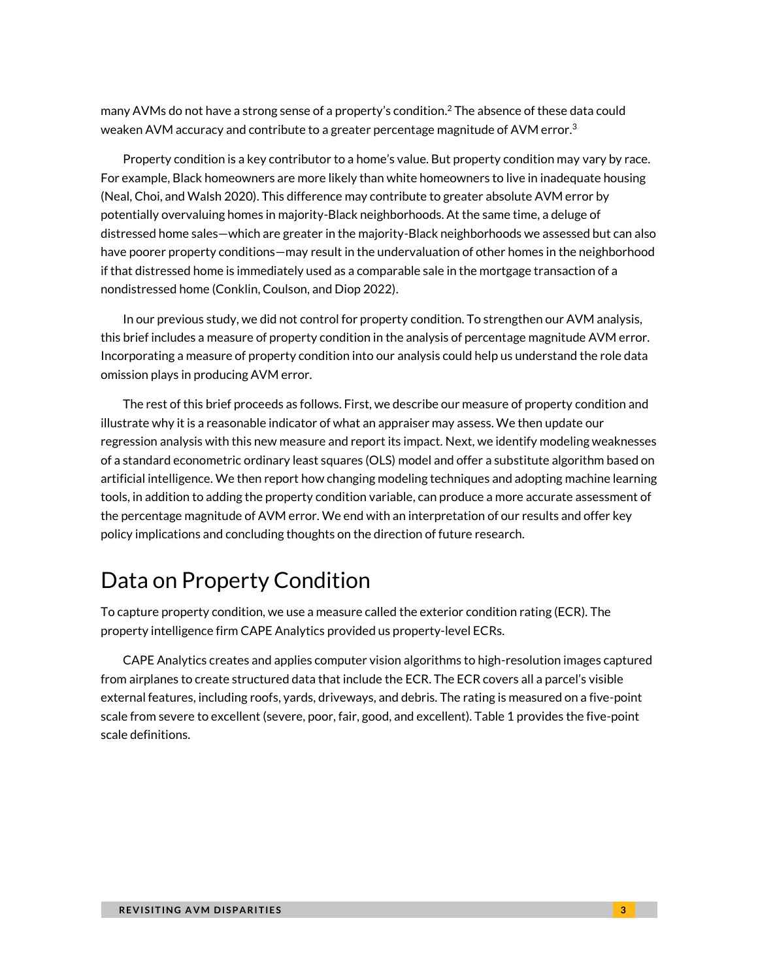many AVMs do not have a strong sense of a property's condition. $^2$  The absence of these data could weaken AVM accuracy and contribute to a greater percentage magnitude of AVM error. $^3$ 

Property condition is a key contributor to a home's value. But property condition may vary by race. For example, Black homeowners are more likely than white homeowners to live in inadequate housing (Neal, Choi, and Walsh 2020). This difference may contribute to greater absolute AVM error by potentially overvaluing homes in majority-Black neighborhoods. At the same time, a deluge of distressed home sales—which are greater in the majority-Black neighborhoods we assessed but can also have poorer property conditions—may result in the undervaluation of other homes in the neighborhood if that distressed home is immediately used as a comparable sale in the mortgage transaction of a nondistressed home (Conklin, Coulson, and Diop 2022).

In our previous study, we did not control for property condition. To strengthen our AVM analysis, this brief includes a measure of property condition in the analysis of percentage magnitude AVM error. Incorporating a measure of property condition into our analysis could help us understand the role data omission plays in producing AVM error.

The rest of this brief proceeds as follows. First, we describe our measure of property condition and illustrate why it is a reasonable indicator of what an appraiser may assess. We then update our regression analysis with this new measure and report its impact. Next, we identify modeling weaknesses of a standard econometric ordinary least squares (OLS) model and offer a substitute algorithm based on artificial intelligence. We then report how changing modeling techniques and adopting machine learning tools, in addition to adding the property condition variable, can produce a more accurate assessment of the percentage magnitude of AVM error. We end with an interpretation of our results and offer key policy implications and concluding thoughts on the direction of future research.

## Data on Property Condition

To capture property condition, we use a measure called the exterior condition rating (ECR). The property intelligence firm CAPE Analytics provided us property-level ECRs.

CAPE Analytics creates and applies computer vision algorithms to high-resolution images captured from airplanes to create structured data that include the ECR. The ECR covers all a parcel's visible external features, including roofs, yards, driveways, and debris. The rating is measured on a five-point scale from severe to excellent (severe, poor, fair, good, and excellent). Table 1 provides the five-point scale definitions.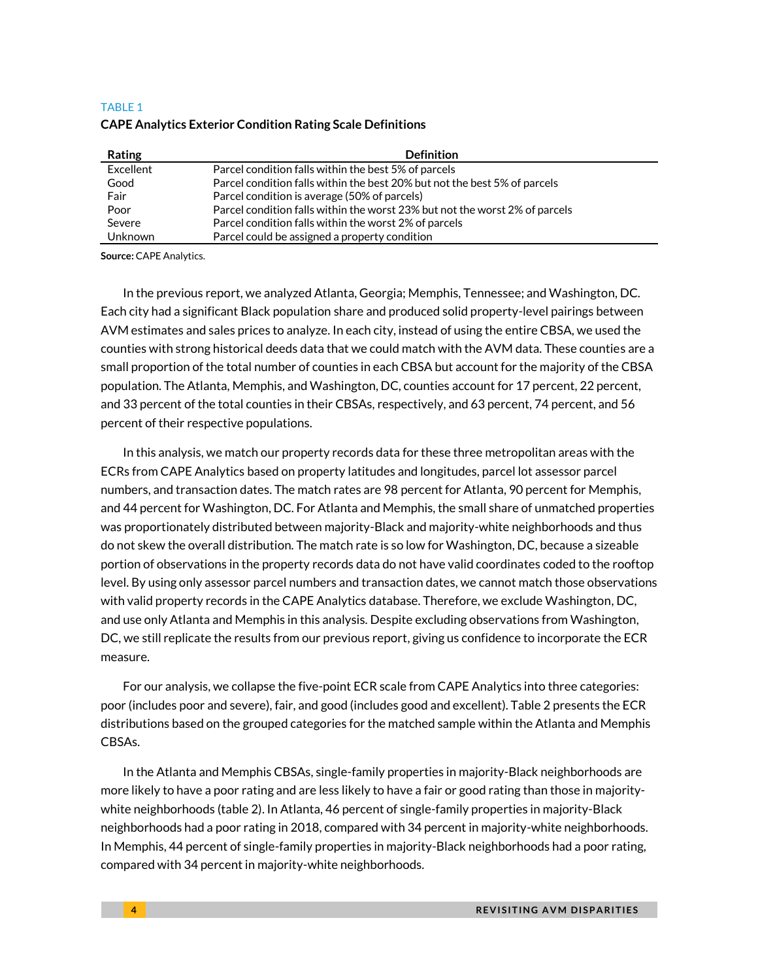#### TABLE 1 **CAPE Analytics Exterior Condition Rating Scale Definitions**

| Rating    | <b>Definition</b>                                                           |
|-----------|-----------------------------------------------------------------------------|
| Excellent | Parcel condition falls within the best 5% of parcels                        |
| Good      | Parcel condition falls within the best 20% but not the best 5% of parcels   |
| Fair      | Parcel condition is average (50% of parcels)                                |
| Poor      | Parcel condition falls within the worst 23% but not the worst 2% of parcels |
| Severe    | Parcel condition falls within the worst 2% of parcels                       |
| Unknown   | Parcel could be assigned a property condition                               |

**Source:** CAPE Analytics.

In the previous report, we analyzed Atlanta, Georgia; Memphis, Tennessee; and Washington, DC. Each city had a significant Black population share and produced solid property-level pairings between AVM estimates and sales prices to analyze. In each city, instead of using the entire CBSA, we used the counties with strong historical deeds data that we could match with the AVM data. These counties are a small proportion of the total number of counties in each CBSA but account for the majority of the CBSA population. The Atlanta, Memphis, and Washington, DC, counties account for 17 percent, 22 percent, and 33 percent of the total counties in their CBSAs, respectively, and 63 percent, 74 percent, and 56 percent of their respective populations.

In this analysis, we match our property records data for these three metropolitan areas with the ECRs from CAPE Analytics based on property latitudes and longitudes, parcel lot assessor parcel numbers, and transaction dates. The match rates are 98 percent for Atlanta, 90 percent for Memphis, and 44 percent for Washington, DC. For Atlanta and Memphis, the small share of unmatched properties was proportionately distributed between majority-Black and majority-white neighborhoods and thus do not skew the overall distribution. The match rate is so low for Washington, DC, because a sizeable portion of observations in the property records data do not have valid coordinates coded to the rooftop level. By using only assessor parcel numbers and transaction dates, we cannot match those observations with valid property records in the CAPE Analytics database. Therefore, we exclude Washington, DC, and use only Atlanta and Memphis in this analysis. Despite excluding observations from Washington, DC, we still replicate the results from our previous report, giving us confidence to incorporate the ECR measure.

For our analysis, we collapse the five-point ECR scale from CAPE Analytics into three categories: poor (includes poor and severe), fair, and good (includes good and excellent). Table 2 presents the ECR distributions based on the grouped categories for the matched sample within the Atlanta and Memphis CBSAs.

In the Atlanta and Memphis CBSAs, single-family properties in majority-Black neighborhoods are more likely to have a poor rating and are less likely to have a fair or good rating than those in majoritywhite neighborhoods (table 2). In Atlanta, 46 percent of single-family properties in majority-Black neighborhoods had a poor rating in 2018, compared with 34 percent in majority-white neighborhoods. In Memphis, 44 percent of single-family properties in majority-Black neighborhoods had a poor rating, compared with 34 percent in majority-white neighborhoods.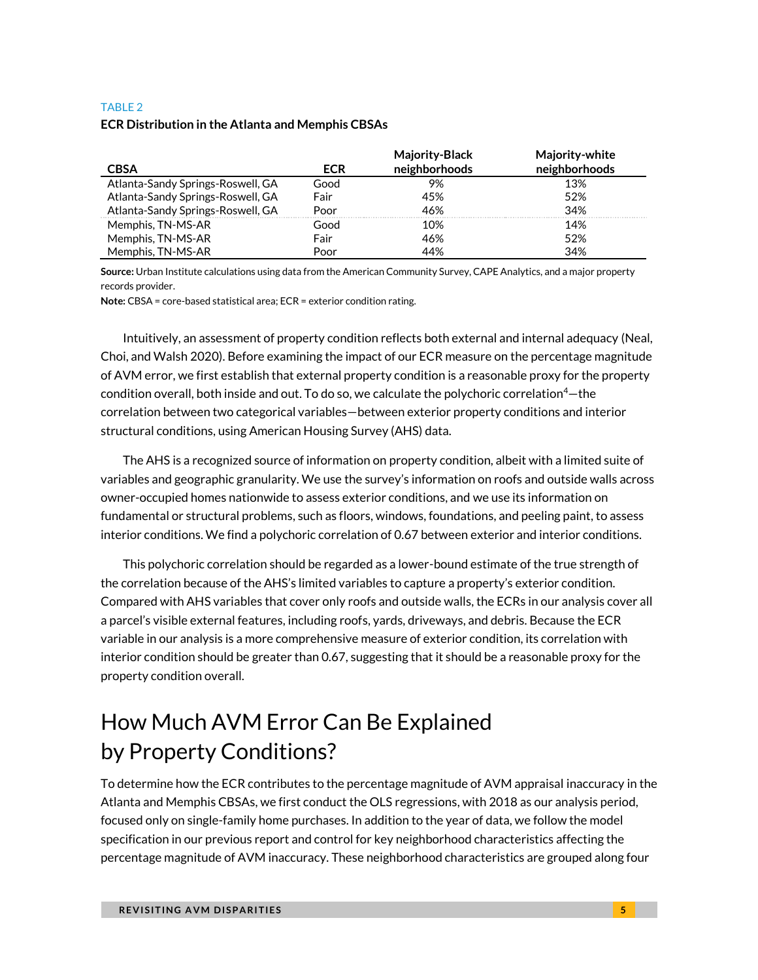#### TABLE 2 **ECR Distribution in the Atlanta and Memphis CBSAs**

| <b>CBSA</b>                       | <b>ECR</b> | <b>Majority-Black</b><br>neighborhoods | <b>Majority-white</b><br>neighborhoods |
|-----------------------------------|------------|----------------------------------------|----------------------------------------|
| Atlanta-Sandy Springs-Roswell, GA | Good       | 9%                                     | 13%                                    |
| Atlanta-Sandy Springs-Roswell, GA | Fair       | 45%                                    | 52%                                    |
| Atlanta-Sandy Springs-Roswell, GA | Poor       | 46%                                    | 34%                                    |
| Memphis, TN-MS-AR                 | Good       | 10%                                    | 14%                                    |
| Memphis, TN-MS-AR                 | Fair       | 46%                                    | 52%                                    |
| Memphis, TN-MS-AR                 | Poor       | 44%                                    | 34%                                    |

**Source:** Urban Institute calculations using data from the American Community Survey, CAPE Analytics, and a major property records provider.

**Note:** CBSA = core-based statistical area; ECR = exterior condition rating.

Intuitively, an assessment of property condition reflects both external and internal adequacy (Neal, Choi, and Walsh 2020). Before examining the impact of our ECR measure on the percentage magnitude of AVM error, we first establish that external property condition is a reasonable proxy for the property condition overall, both inside and out. To do so, we calculate the polychoric correlation<sup>4</sup>-the correlation between two categorical variables—between exterior property conditions and interior structural conditions, using American Housing Survey (AHS) data.

The AHS is a recognized source of information on property condition, albeit with a limited suite of variables and geographic granularity. We use the survey's information on roofs and outside walls across owner-occupied homes nationwide to assess exterior conditions, and we use its information on fundamental or structural problems, such as floors, windows, foundations, and peeling paint, to assess interior conditions. We find a polychoric correlation of 0.67 between exterior and interior conditions.

This polychoric correlation should be regarded as a lower-bound estimate of the true strength of the correlation because of the AHS's limited variables to capture a property's exterior condition. Compared with AHS variables that cover only roofs and outside walls, the ECRs in our analysis cover all a parcel's visible external features, including roofs, yards, driveways, and debris. Because the ECR variable in our analysis is a more comprehensive measure of exterior condition, its correlation with interior condition should be greater than 0.67, suggesting that it should be a reasonable proxy for the property condition overall.

## How Much AVM Error Can Be Explained by Property Conditions?

To determine how the ECR contributes to the percentage magnitude of AVM appraisal inaccuracy in the Atlanta and Memphis CBSAs, we first conduct the OLS regressions, with 2018 as our analysis period, focused only on single-family home purchases. In addition to the year of data, we follow the model specification in our previous report and control for key neighborhood characteristics affecting the percentage magnitude of AVM inaccuracy. These neighborhood characteristics are grouped along four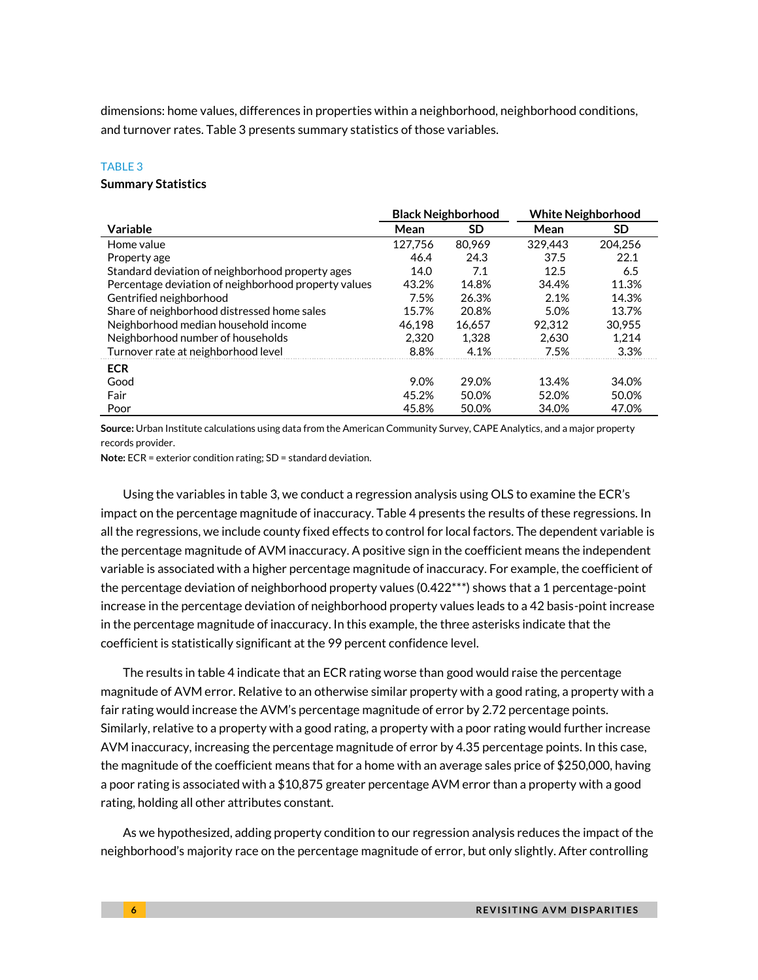dimensions: home values, differences in properties within a neighborhood, neighborhood conditions, and turnover rates. Table 3 presents summary statistics of those variables.

#### TABLE 3

#### **Summary Statistics**

|                                                      | <b>Black Neighborhood</b> |        | <b>White Neighborhood</b> |         |
|------------------------------------------------------|---------------------------|--------|---------------------------|---------|
| Variable                                             | Mean                      | SD     | Mean                      | SD      |
| Home value                                           | 127,756                   | 80.969 | 329.443                   | 204.256 |
| Property age                                         | 46.4                      | 24.3   | 37.5                      | 22.1    |
| Standard deviation of neighborhood property ages     | 14.0                      | 7.1    | 12.5                      | 6.5     |
| Percentage deviation of neighborhood property values | 43.2%                     | 14.8%  | 34.4%                     | 11.3%   |
| Gentrified neighborhood                              | 7.5%                      | 26.3%  | 2.1%                      | 14.3%   |
| Share of neighborhood distressed home sales          | 15.7%                     | 20.8%  | 5.0%                      | 13.7%   |
| Neighborhood median household income                 | 46.198                    | 16.657 | 92.312                    | 30.955  |
| Neighborhood number of households                    | 2.320                     | 1.328  | 2.630                     | 1.214   |
| Turnover rate at neighborhood level                  | 8.8%                      | 4.1%   | 7.5%                      | 3.3%    |
| <b>ECR</b>                                           |                           |        |                           |         |
| Good                                                 | 9.0%                      | 29.0%  | 13.4%                     | 34.0%   |
| Fair                                                 | 45.2%                     | 50.0%  | 52.0%                     | 50.0%   |
| Poor                                                 | 45.8%                     | 50.0%  | 34.0%                     | 47.0%   |

**Source:** Urban Institute calculations using data from the American Community Survey, CAPE Analytics, and a major property records provider.

**Note:** ECR = exterior condition rating; SD = standard deviation.

Using the variables in table 3, we conduct a regression analysis using OLS to examine the ECR's impact on the percentage magnitude of inaccuracy. Table 4 presents the results of these regressions. In all the regressions, we include county fixed effects to control for local factors. The dependent variable is the percentage magnitude of AVM inaccuracy. A positive sign in the coefficient means the independent variable is associated with a higher percentage magnitude of inaccuracy. For example, the coefficient of the percentage deviation of neighborhood property values (0.422\*\*\*) shows that a 1 percentage-point increase in the percentage deviation of neighborhood property values leads to a 42 basis-point increase in the percentage magnitude of inaccuracy. In this example, the three asterisks indicate that the coefficient is statistically significant at the 99 percent confidence level.

The results in table 4 indicate that an ECR rating worse than good would raise the percentage magnitude of AVM error. Relative to an otherwise similar property with a good rating, a property with a fair rating would increase the AVM's percentage magnitude of error by 2.72 percentage points. Similarly, relative to a property with a good rating, a property with a poor rating would further increase AVM inaccuracy, increasing the percentage magnitude of error by 4.35 percentage points. In this case, the magnitude of the coefficient means that for a home with an average sales price of \$250,000, having a poor rating is associated with a \$10,875 greater percentage AVM error than a property with a good rating, holding all other attributes constant.

As we hypothesized, adding property condition to our regression analysis reduces the impact of the neighborhood's majority race on the percentage magnitude of error, but only slightly. After controlling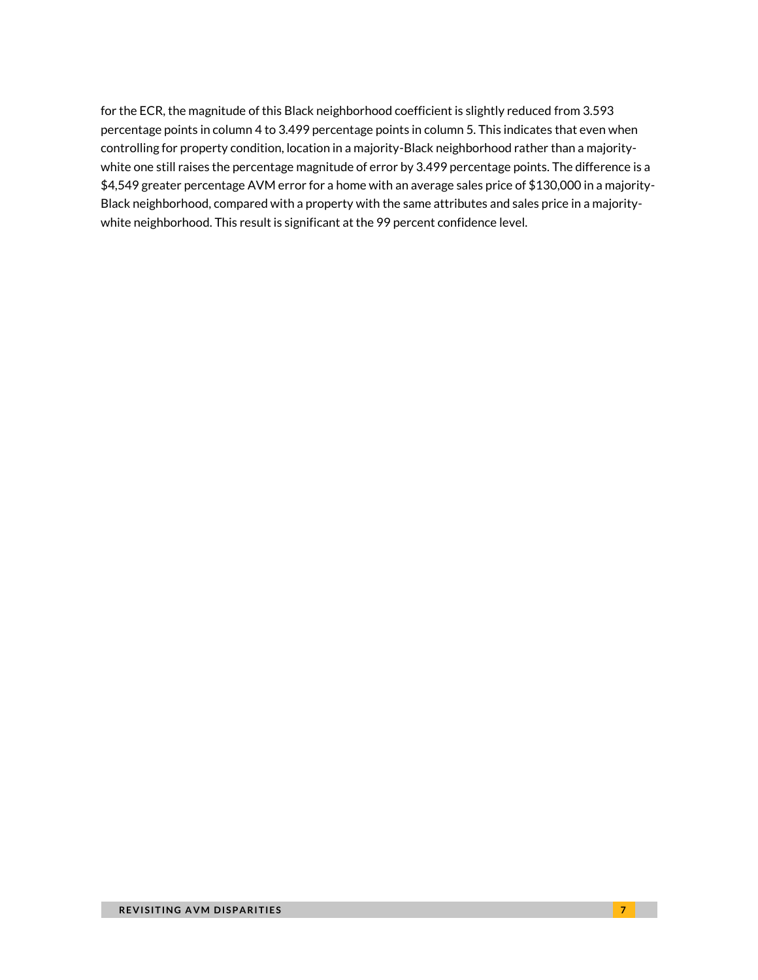for the ECR, the magnitude of this Black neighborhood coefficient is slightly reduced from 3.593 percentage points in column 4 to 3.499 percentage points in column 5. This indicates that even when controlling for property condition, location in a majority-Black neighborhood rather than a majoritywhite one still raises the percentage magnitude of error by 3.499 percentage points. The difference is a \$4,549 greater percentage AVM error for a home with an average sales price of \$130,000 in a majority-Black neighborhood, compared with a property with the same attributes and sales price in a majoritywhite neighborhood. This result is significant at the 99 percent confidence level.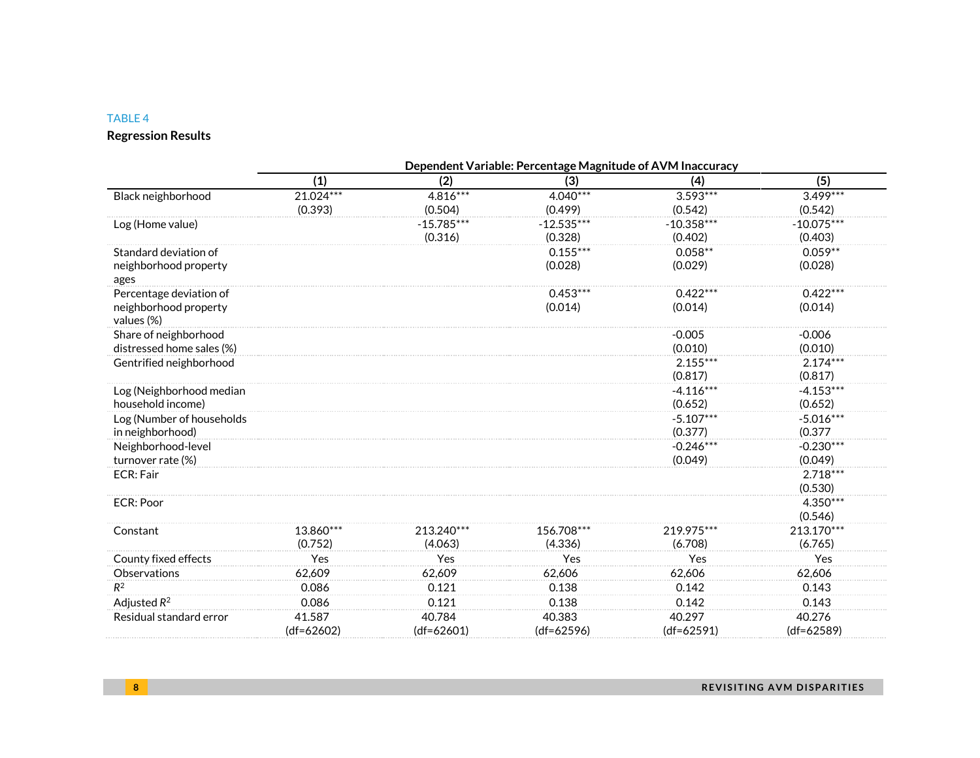### TABLE 4

### **Regression Results**

|                                     |              |              | Dependent Variable: Percentage Magnitude of AVM Inaccuracy |              |              |
|-------------------------------------|--------------|--------------|------------------------------------------------------------|--------------|--------------|
|                                     | (1)          | (2)          | (3)                                                        | (4)          | (5)          |
| Black neighborhood                  | $21.024***$  | $4.816***$   | 4.040***                                                   | $3.593***$   | $3.499***$   |
|                                     | (0.393)      | (0.504)      | (0.499)                                                    | (0.542)      | (0.542)      |
| Log (Home value)                    |              | $-15.785***$ | $-12.535***$                                               | $-10.358***$ | $-10.075***$ |
|                                     |              | (0.316)      | (0.328)                                                    | (0.402)      | (0.403)      |
| Standard deviation of               |              |              | $0.155***$                                                 | $0.058**$    | $0.059**$    |
| neighborhood property               |              |              | (0.028)                                                    | (0.029)      | (0.028)      |
| ages                                |              |              |                                                            |              |              |
| Percentage deviation of             |              |              | $0.453***$                                                 | $0.422***$   | $0.422***$   |
| neighborhood property<br>values (%) |              |              | (0.014)                                                    | (0.014)      | (0.014)      |
| Share of neighborhood               |              |              |                                                            | $-0.005$     | $-0.006$     |
| distressed home sales (%)           |              |              |                                                            | (0.010)      | (0.010)      |
| Gentrified neighborhood             |              |              |                                                            | $2.155***$   | $2.174***$   |
|                                     |              |              |                                                            | (0.817)      | (0.817)      |
| Log (Neighborhood median            |              |              |                                                            | $-4.116***$  | $-4.153***$  |
| household income)                   |              |              |                                                            | (0.652)      | (0.652)      |
| Log (Number of households           |              |              |                                                            | $-5.107***$  | $-5.016***$  |
| in neighborhood)                    |              |              |                                                            | (0.377)      | (0.377)      |
| Neighborhood-level                  |              |              |                                                            | $-0.246***$  | $-0.230***$  |
| turnover rate (%)                   |              |              |                                                            | (0.049)      | (0.049)      |
| ECR: Fair                           |              |              |                                                            |              | $2.718***$   |
|                                     |              |              |                                                            |              | (0.530)      |
| <b>ECR: Poor</b>                    |              |              |                                                            |              | 4.350***     |
|                                     |              |              |                                                            |              | (0.546)      |
| Constant                            | 13.860***    | 213.240***   | 156.708***                                                 | 219.975***   | 213.170***   |
|                                     | (0.752)      | (4.063)      | (4.336)                                                    | (6.708)      | (6.765)      |
| County fixed effects                | Yes          | Yes          | Yes                                                        | Yes          | Yes          |
| Observations                        | 62,609       | 62,609       | 62,606                                                     | 62,606       | 62,606       |
| $R^2$                               | 0.086        | 0.121        | 0.138                                                      | 0.142        | 0.143        |
| Adjusted $R^2$                      | 0.086        | 0.121        | 0.138                                                      | 0.142        | 0.143        |
| Residual standard error             | 41.587       | 40.784       | 40.383                                                     | 40.297       | 40.276       |
|                                     | $(df=62602)$ | $(df=62601)$ | $(df=62596)$                                               | $(df=62591)$ | $(df=62589)$ |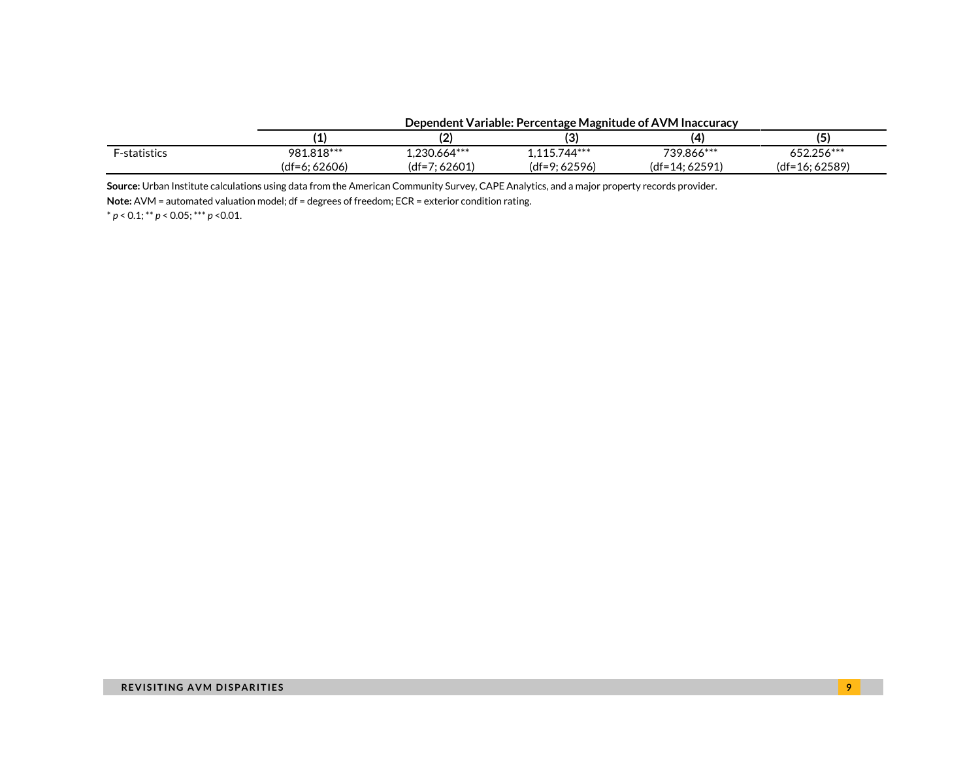|                     | Dependent Variable: Percentage Magnitude of AVM inaccuracy |                 |                 |                 |                  |
|---------------------|------------------------------------------------------------|-----------------|-----------------|-----------------|------------------|
|                     |                                                            |                 |                 |                 |                  |
| <b>F-statistics</b> | 981.818***                                                 | $1.230.664***$  | $1.115.744***$  | 739.866***      | 652.256***       |
|                     | (df=6: 62606)                                              | $(df=7; 62601)$ | $(df=9; 62596)$ | $(df=14:62591)$ | $(df=16; 62589)$ |

#### **Dependent Variable: Percentage Magnitude of AVM Inaccuracy**

**Source:** Urban Institute calculations using data from the American Community Survey, CAPE Analytics, and a major property records provider.

**Note:** AVM = automated valuation model; df = degrees of freedom; ECR = exterior condition rating.

\* *p* < 0.1; \*\* *p* < 0.05; \*\*\* *p* <0.01.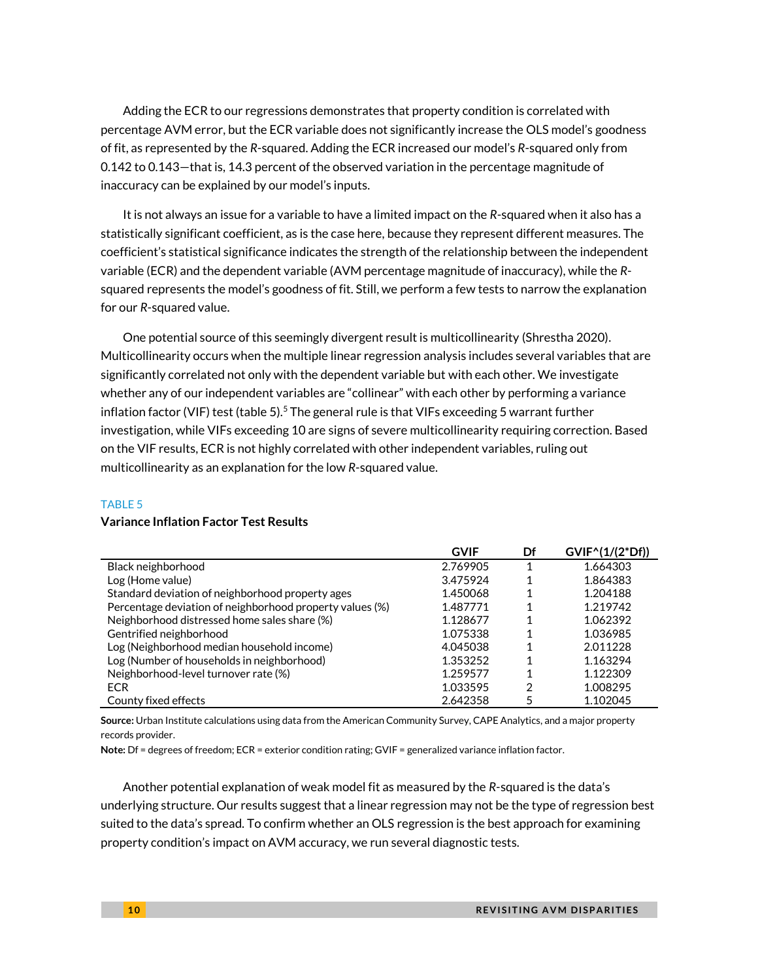Adding the ECR to our regressions demonstrates that property condition is correlated with percentage AVM error, but the ECR variable does not significantly increase the OLS model's goodness of fit, as represented by the *R*-squared. Adding the ECR increased our model's *R*-squared only from 0.142 to 0.143—that is, 14.3 percent of the observed variation in the percentage magnitude of inaccuracy can be explained by our model's inputs.

It is not always an issue for a variable to have a limited impact on the *R*-squared when it also has a statistically significant coefficient, as is the case here, because they represent different measures. The coefficient's statistical significance indicates the strength of the relationship between the independent variable (ECR) and the dependent variable (AVM percentage magnitude of inaccuracy), while the *R*squared represents the model's goodness of fit. Still, we perform a few tests to narrow the explanation for our *R*-squared value.

One potential source of this seemingly divergent result is multicollinearity (Shrestha 2020). Multicollinearity occurs when the multiple linear regression analysis includes several variables that are significantly correlated not only with the dependent variable but with each other. We investigate whether any of our independent variables are "collinear" with each other by performing a variance inflation factor (VIF) test (table 5).<sup>5</sup> The general rule is that VIFs exceeding 5 warrant further investigation, while VIFs exceeding 10 are signs of severe multicollinearity requiring correction. Based on the VIF results, ECR is not highly correlated with other independent variables, ruling out multicollinearity as an explanation for the low *R*-squared value.

#### TABLE 5

|                                                          | <b>GVIF</b> | Df | GVIF^(1/(2*Df)) |
|----------------------------------------------------------|-------------|----|-----------------|
| Black neighborhood                                       | 2.769905    |    | 1.664303        |
| Log (Home value)                                         | 3.475924    |    | 1.864383        |
| Standard deviation of neighborhood property ages         | 1.450068    |    | 1.204188        |
| Percentage deviation of neighborhood property values (%) | 1.487771    |    | 1.219742        |
| Neighborhood distressed home sales share (%)             | 1.128677    | 1  | 1.062392        |
| Gentrified neighborhood                                  | 1.075338    | 1  | 1.036985        |
| Log (Neighborhood median household income)               | 4.045038    |    | 2.011228        |
| Log (Number of households in neighborhood)               | 1.353252    |    | 1.163294        |
| Neighborhood-level turnover rate (%)                     | 1.259577    | 1  | 1.122309        |
| <b>ECR</b>                                               | 1.033595    | 2  | 1.008295        |
| County fixed effects                                     | 2.642358    |    | 1.102045        |

#### **Variance Inflation Factor Test Results**

**Source:** Urban Institute calculations using data from the American Community Survey, CAPE Analytics, and a major property records provider.

**Note:** Df = degrees of freedom; ECR = exterior condition rating; GVIF = generalized variance inflation factor.

Another potential explanation of weak model fit as measured by the *R*-squared is the data's underlying structure. Our results suggest that a linear regression may not be the type of regression best suited to the data's spread. To confirm whether an OLS regression is the best approach for examining property condition's impact on AVM accuracy, we run several diagnostic tests.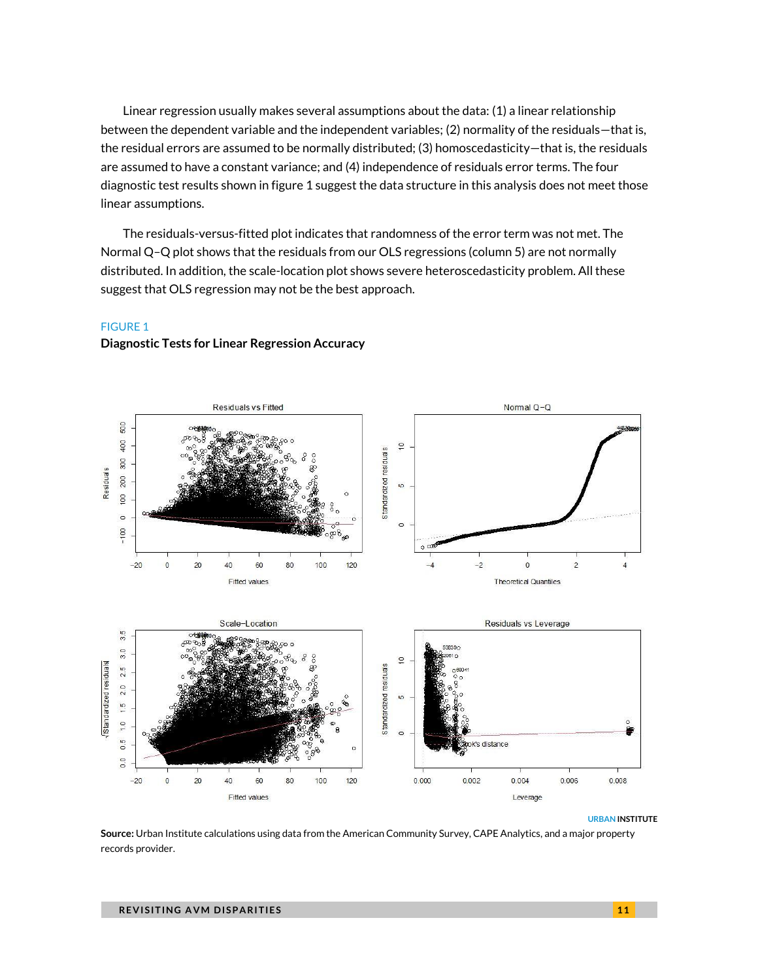Linear regression usually makes several assumptions about the data: (1) a linear relationship between the dependent variable and the independent variables; (2) normality of the residuals—that is, the residual errors are assumed to be normally distributed; (3) homoscedasticity—that is, the residuals are assumed to have a constant variance; and (4) independence of residuals error terms. The four diagnostic test results shown in figure 1 suggest the data structure in this analysis does not meet those linear assumptions.

The residuals-versus-fitted plot indicates that randomness of the error term was not met. The Normal Q–Q plot shows that the residuals from our OLS regressions (column 5) are not normally distributed. In addition, the scale-location plot shows severe heteroscedasticity problem. All these suggest that OLS regression may not be the best approach.

#### FIGURE 1

#### **Diagnostic Tests for Linear Regression Accuracy**



#### **URBAN INSTITUTE**

**Source:** Urban Institute calculations using data from the American Community Survey, CAPE Analytics, and a major property records provider.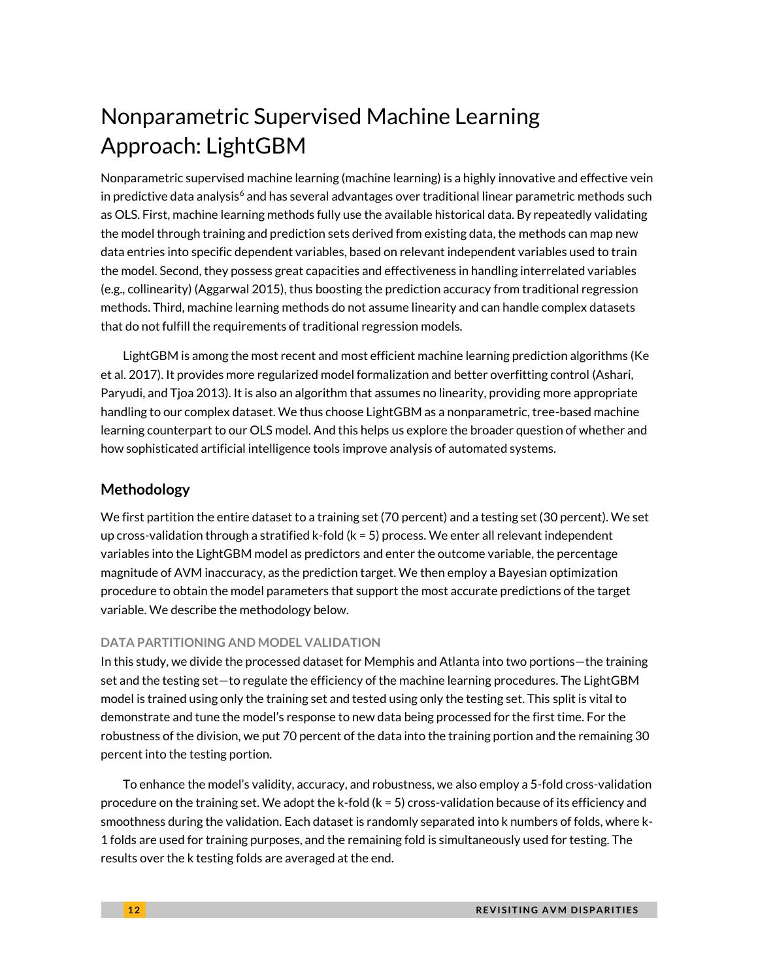## Nonparametric Supervised Machine Learning Approach: LightGBM

Nonparametric supervised machine learning (machine learning) is a highly innovative and effective vein in predictive data analysis<sup>6</sup> and has several advantages over traditional linear parametric methods such as OLS. First, machine learning methods fully use the available historical data. By repeatedly validating the model through training and prediction sets derived from existing data, the methods can map new data entries into specific dependent variables, based on relevant independent variables used to train the model. Second, they possess great capacities and effectiveness in handling interrelated variables (e.g., collinearity) (Aggarwal 2015), thus boosting the prediction accuracy from traditional regression methods. Third, machine learning methods do not assume linearity and can handle complex datasets that do not fulfill the requirements of traditional regression models.

LightGBM is among the most recent and most efficient machine learning prediction algorithms (Ke et al. 2017). It provides more regularized model formalization and better overfitting control (Ashari, Paryudi, and Tjoa 2013). It is also an algorithm that assumes no linearity, providing more appropriate handling to our complex dataset. We thus choose LightGBM as a nonparametric, tree-based machine learning counterpart to our OLS model. And this helps us explore the broader question of whether and how sophisticated artificial intelligence tools improve analysis of automated systems.

### **Methodology**

We first partition the entire dataset to a training set (70 percent) and a testing set (30 percent). We set up cross-validation through a stratified k-fold (k = 5) process. We enter all relevant independent variables into the LightGBM model as predictors and enter the outcome variable, the percentage magnitude of AVM inaccuracy, as the prediction target. We then employ a Bayesian optimization procedure to obtain the model parameters that support the most accurate predictions of the target variable. We describe the methodology below.

### **DATA PARTITIONING AND MODEL VALIDATION**

In this study, we divide the processed dataset for Memphis and Atlanta into two portions—the training set and the testing set—to regulate the efficiency of the machine learning procedures. The LightGBM model is trained using only the training set and tested using only the testing set. This split is vital to demonstrate and tune the model's response to new data being processed for the first time. For the robustness of the division, we put 70 percent of the data into the training portion and the remaining 30 percent into the testing portion.

To enhance the model's validity, accuracy, and robustness, we also employ a 5-fold cross-validation procedure on the training set. We adopt the k-fold (k = 5) cross-validation because of its efficiency and smoothness during the validation. Each dataset is randomly separated into k numbers of folds, where k-1 folds are used for training purposes, and the remaining fold is simultaneously used for testing. The results over the k testing folds are averaged at the end.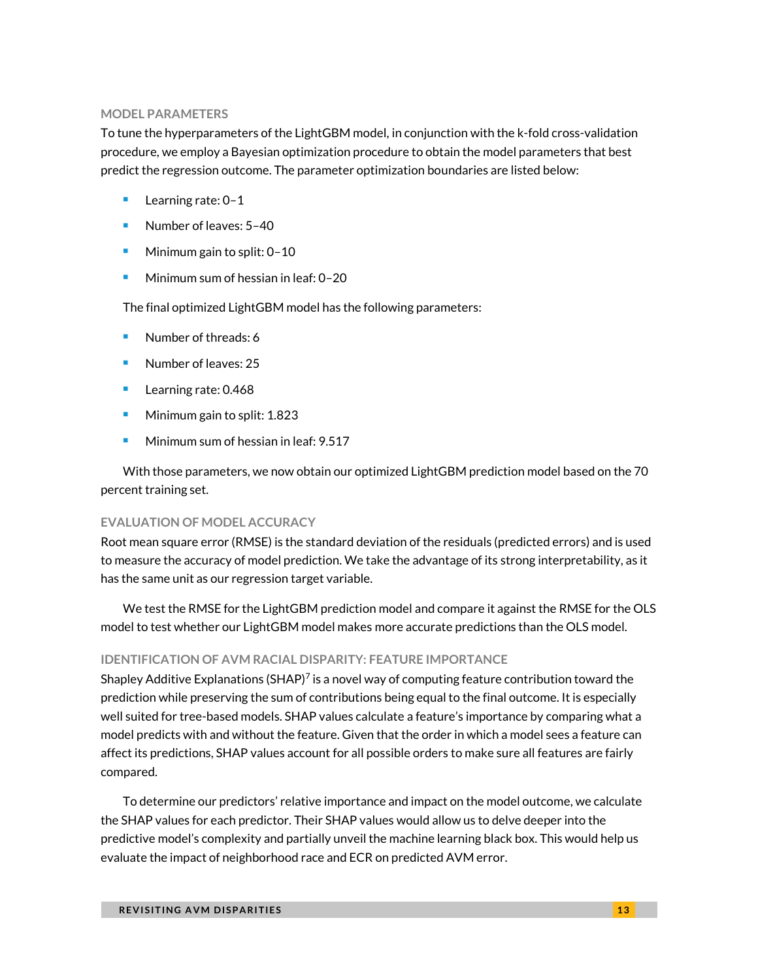#### **MODEL PARAMETERS**

To tune the hyperparameters of the LightGBM model, in conjunction with the k-fold cross-validation procedure, we employ a Bayesian optimization procedure to obtain the model parameters that best predict the regression outcome. The parameter optimization boundaries are listed below:

- Learning rate: 0-1
- Number of leaves: 5-40
- Minimum gain to split:  $0-10$
- <sup>◼</sup> Minimum sum of hessian in leaf: 0–20

The final optimized LightGBM model has the following parameters:

- Number of threads: 6
- Number of leaves: 25
- Learning rate: 0.468
- Minimum gain to split: 1.823
- Minimum sum of hessian in leaf: 9.517

With those parameters, we now obtain our optimized LightGBM prediction model based on the 70 percent training set.

#### **EVALUATION OF MODEL ACCURACY**

Root mean square error (RMSE) is the standard deviation of the residuals (predicted errors) and is used to measure the accuracy of model prediction. We take the advantage of its strong interpretability, as it has the same unit as our regression target variable.

We test the RMSE for the LightGBM prediction model and compare it against the RMSE for the OLS model to test whether our LightGBM model makes more accurate predictions than the OLS model.

#### **IDENTIFICATION OF AVM RACIAL DISPARITY: FEATURE IMPORTANCE**

Shapley Additive Explanations (SHAP)<sup>7</sup> is a novel way of computing feature contribution toward the prediction while preserving the sum of contributions being equal to the final outcome. It is especially well suited for tree-based models. SHAP values calculate a feature's importance by comparing what a model predicts with and without the feature. Given that the order in which a model sees a feature can affect its predictions, SHAP values account for all possible orders to make sure all features are fairly compared.

To determine our predictors' relative importance and impact on the model outcome, we calculate the SHAP values for each predictor. Their SHAP values would allow us to delve deeper into the predictive model's complexity and partially unveil the machine learning black box. This would help us evaluate the impact of neighborhood race and ECR on predicted AVM error.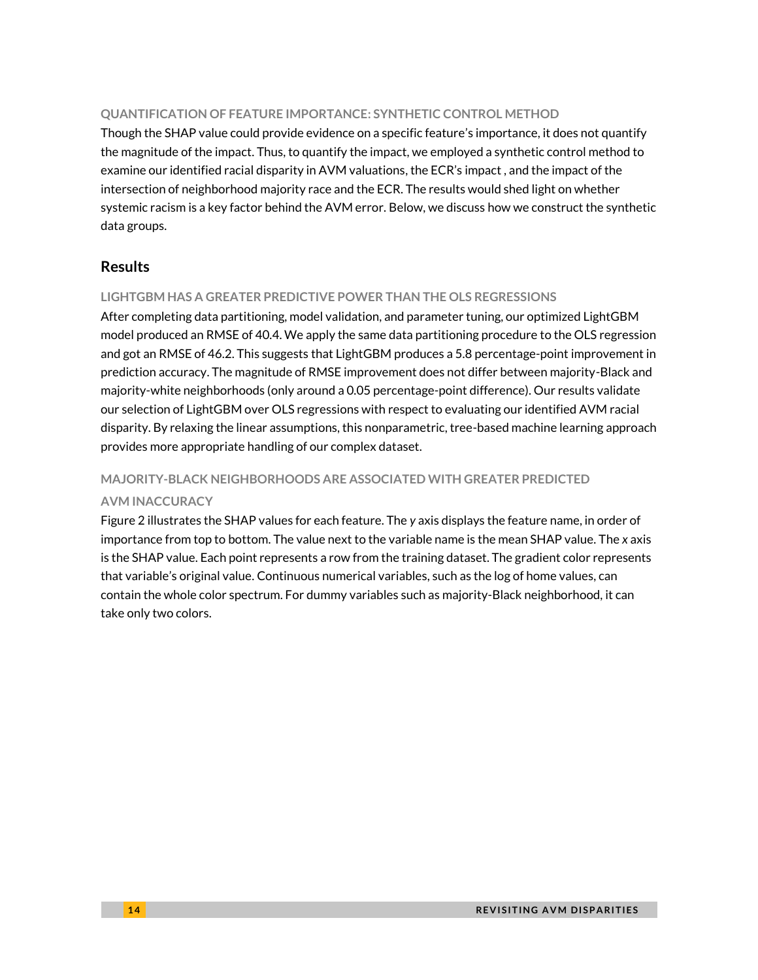#### **QUANTIFICATION OF FEATURE IMPORTANCE: SYNTHETIC CONTROL METHOD**

Though the SHAP value could provide evidence on a specific feature's importance, it does not quantify the magnitude of the impact. Thus, to quantify the impact, we employed a synthetic control method to examine our identified racial disparity in AVM valuations, the ECR's impact , and the impact of the intersection of neighborhood majority race and the ECR. The results would shed light on whether systemic racism is a key factor behind the AVM error. Below, we discuss how we construct the synthetic data groups.

### **Results**

### **LIGHTGBM HAS A GREATER PREDICTIVE POWER THAN THE OLS REGRESSIONS**

After completing data partitioning, model validation, and parameter tuning, our optimized LightGBM model produced an RMSE of 40.4. We apply the same data partitioning procedure to the OLS regression and got an RMSE of 46.2. This suggests that LightGBM produces a 5.8 percentage-point improvement in prediction accuracy. The magnitude of RMSE improvement does not differ between majority-Black and majority-white neighborhoods (only around a 0.05 percentage-point difference). Our results validate our selection of LightGBM over OLS regressions with respect to evaluating our identified AVM racial disparity. By relaxing the linear assumptions, this nonparametric, tree-based machine learning approach provides more appropriate handling of our complex dataset.

#### **MAJORITY-BLACK NEIGHBORHOODS ARE ASSOCIATED WITH GREATER PREDICTED**

#### **AVM INACCURACY**

Figure 2 illustrates the SHAP values for each feature. The *y* axis displays the feature name, in order of importance from top to bottom. The value next to the variable name is the mean SHAP value. The *x* axis is the SHAP value. Each point represents a row from the training dataset. The gradient color represents that variable's original value. Continuous numerical variables, such as the log of home values, can contain the whole color spectrum. For dummy variables such as majority-Black neighborhood, it can take only two colors.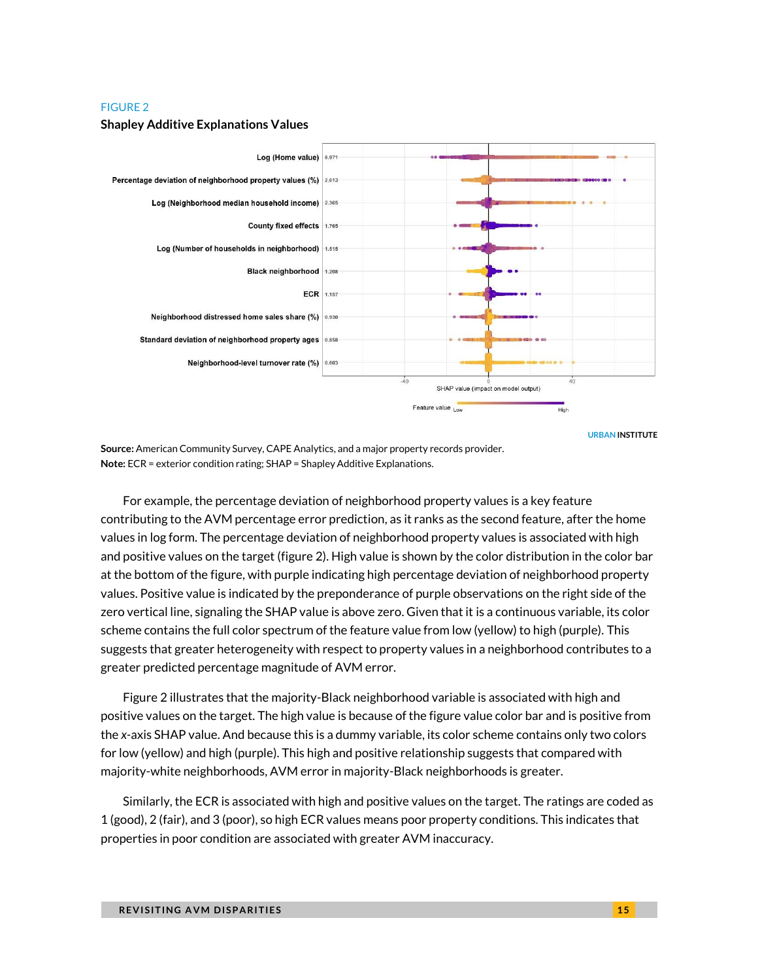#### FIGURE 2



#### **Shapley Additive Explanations Values**



**Source:** American Community Survey, CAPE Analytics, and a major property records provider. **Note:** ECR = exterior condition rating; SHAP = Shapley Additive Explanations.

For example, the percentage deviation of neighborhood property values is a key feature contributing to the AVM percentage error prediction, as it ranks as the second feature, after the home values in log form. The percentage deviation of neighborhood property values is associated with high and positive values on the target (figure 2). High value is shown by the color distribution in the color bar at the bottom of the figure, with purple indicating high percentage deviation of neighborhood property values. Positive value is indicated by the preponderance of purple observations on the right side of the zero vertical line, signaling the SHAP value is above zero. Given that it is a continuous variable, its color scheme contains the full color spectrum of the feature value from low (yellow) to high (purple). This suggests that greater heterogeneity with respect to property values in a neighborhood contributes to a greater predicted percentage magnitude of AVM error.

Figure 2 illustrates that the majority-Black neighborhood variable is associated with high and positive values on the target. The high value is because of the figure value color bar and is positive from the *x-*axis SHAP value. And because this is a dummy variable, its color scheme contains only two colors for low (yellow) and high (purple). This high and positive relationship suggests that compared with majority-white neighborhoods, AVM error in majority-Black neighborhoods is greater.

Similarly, the ECR is associated with high and positive values on the target. The ratings are coded as 1 (good), 2 (fair), and 3 (poor), so high ECR values means poor property conditions. This indicates that properties in poor condition are associated with greater AVM inaccuracy.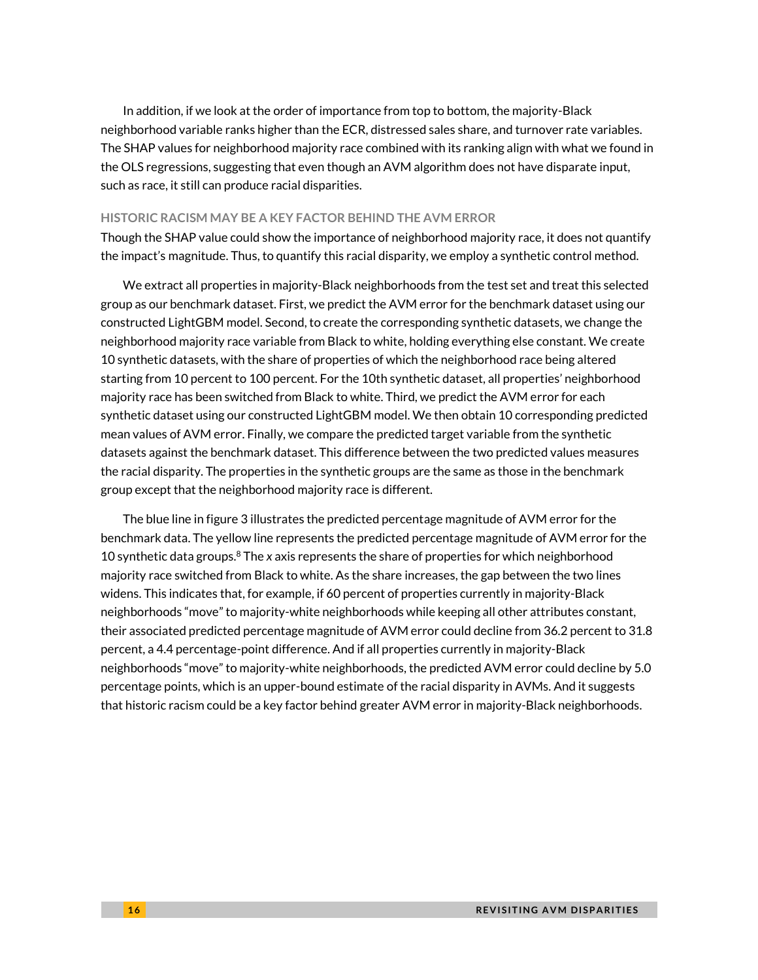In addition, if we look at the order of importance from top to bottom, the majority-Black neighborhood variable ranks higher than the ECR, distressed sales share, and turnover rate variables. The SHAP values for neighborhood majority race combined with its ranking align with what we found in the OLS regressions, suggesting that even though an AVM algorithm does not have disparate input, such as race, it still can produce racial disparities.

#### **HISTORIC RACISM MAY BE A KEY FACTOR BEHIND THE AVM ERROR**

Though the SHAP value could show the importance of neighborhood majority race, it does not quantify the impact's magnitude. Thus, to quantify this racial disparity, we employ a synthetic control method.

We extract all properties in majority-Black neighborhoods from the test set and treat this selected group as our benchmark dataset. First, we predict the AVM error for the benchmark dataset using our constructed LightGBM model. Second, to create the corresponding synthetic datasets, we change the neighborhood majority race variable from Black to white, holding everything else constant. We create 10 synthetic datasets, with the share of properties of which the neighborhood race being altered starting from 10 percent to 100 percent. For the 10th synthetic dataset, all properties' neighborhood majority race has been switched from Black to white. Third, we predict the AVM error for each synthetic dataset using our constructed LightGBM model. We then obtain 10 corresponding predicted mean values of AVM error. Finally, we compare the predicted target variable from the synthetic datasets against the benchmark dataset. This difference between the two predicted values measures the racial disparity. The properties in the synthetic groups are the same as those in the benchmark group except that the neighborhood majority race is different.

The blue line in figure 3 illustrates the predicted percentage magnitude of AVM error for the benchmark data. The yellow line represents the predicted percentage magnitude of AVM error for the 10 synthetic data groups. <sup>8</sup> The *x* axis represents the share of properties for which neighborhood majority race switched from Black to white. As the share increases, the gap between the two lines widens. This indicates that, for example, if 60 percent of properties currently in majority-Black neighborhoods "move" to majority-white neighborhoods while keeping all other attributes constant, their associated predicted percentage magnitude of AVM error could decline from 36.2 percent to 31.8 percent, a 4.4 percentage-point difference. And if all properties currently in majority-Black neighborhoods "move" to majority-white neighborhoods, the predicted AVM error could decline by 5.0 percentage points, which is an upper-bound estimate of the racial disparity in AVMs. And it suggests that historic racism could be a key factor behind greater AVM error in majority-Black neighborhoods.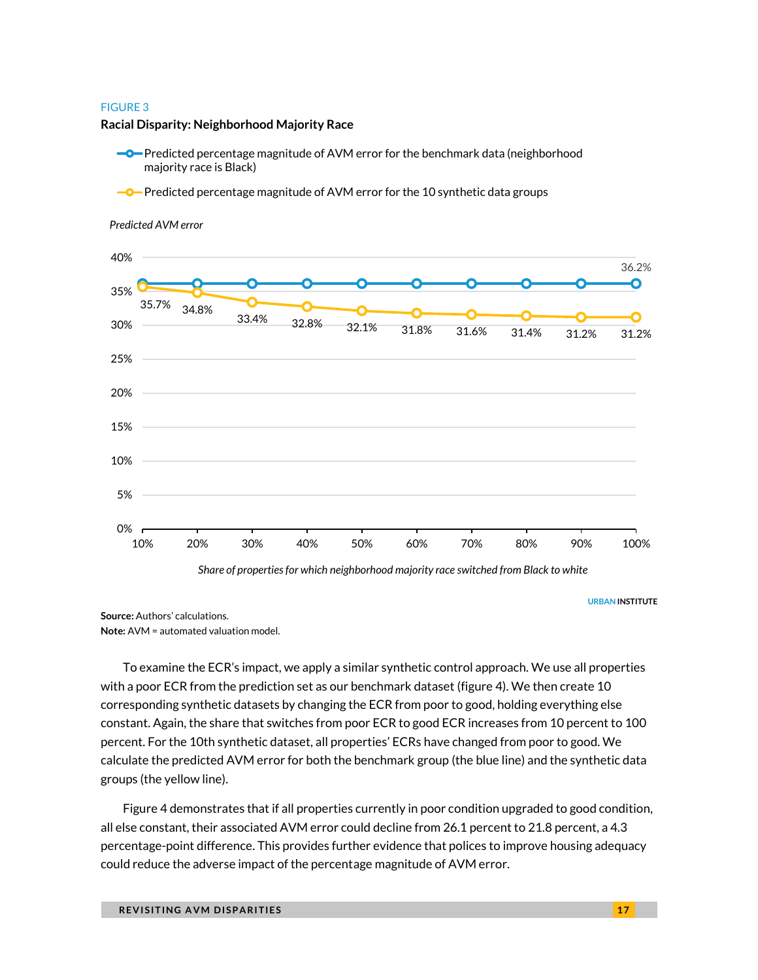#### FIGURE 3

#### **Racial Disparity: Neighborhood Majority Race**

- **-O**-Predicted percentage magnitude of AVM error for the benchmark data (neighborhood majority race is Black)
- **-O**-Predicted percentage magnitude of AVM error for the 10 synthetic data groups



#### *Predicted AVM error*

**Source:** Authors' calculations. **Note:** AVM = automated valuation model.

To examine the ECR's impact, we apply a similar synthetic control approach. We use all properties with a poor ECR from the prediction set as our benchmark dataset (figure 4). We then create 10 corresponding synthetic datasets by changing the ECR from poor to good, holding everything else constant. Again, the share that switches from poor ECR to good ECR increases from 10 percent to 100 percent. For the 10th synthetic dataset, all properties' ECRs have changed from poor to good. We calculate the predicted AVM error for both the benchmark group (the blue line) and the synthetic data groups (the yellow line).

Figure 4 demonstrates that if all properties currently in poor condition upgraded to good condition, all else constant, their associated AVM error could decline from 26.1 percent to 21.8 percent, a 4.3 percentage-point difference. This provides further evidence that polices to improve housing adequacy could reduce the adverse impact of the percentage magnitude of AVM error.

**URBAN INSTITUTE**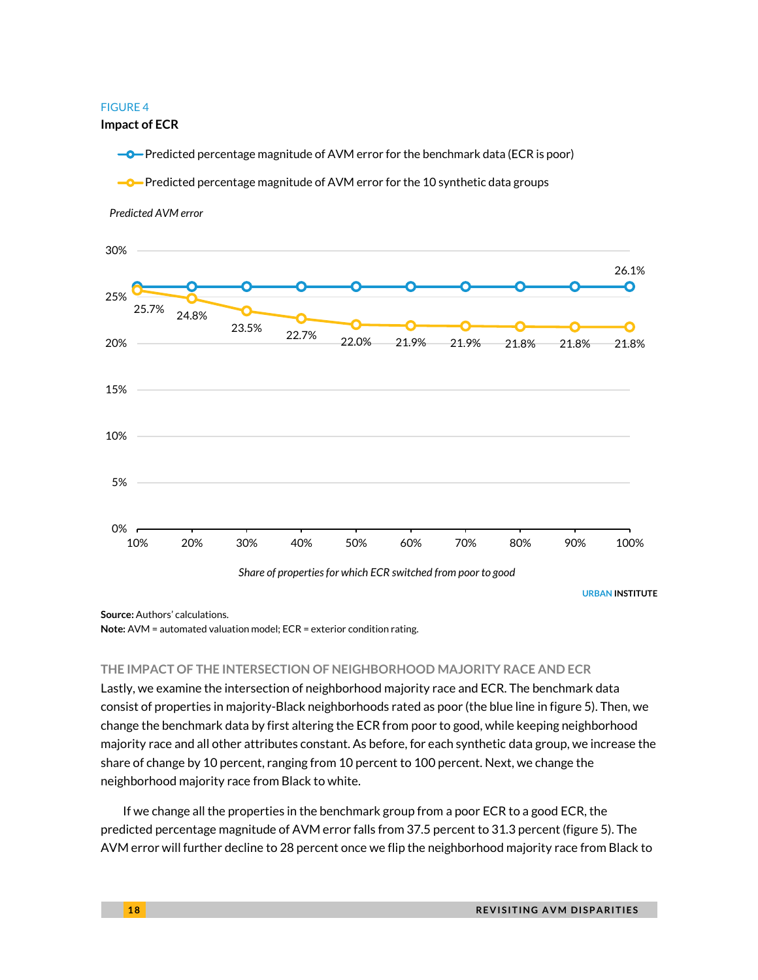#### FIGURE 4

**Impact of ECR**

**-O**-Predicted percentage magnitude of AVM error for the benchmark data (ECR is poor)

**-O**-Predicted percentage magnitude of AVM error for the 10 synthetic data groups

*Predicted AVM error*



**Source:** Authors' calculations.

**Note:** AVM = automated valuation model; ECR = exterior condition rating.

#### **THE IMPACT OF THE INTERSECTION OF NEIGHBORHOOD MAJORITY RACE AND ECR**

Lastly, we examine the intersection of neighborhood majority race and ECR. The benchmark data consist of properties in majority-Black neighborhoods rated as poor (the blue line in figure 5). Then, we change the benchmark data by first altering the ECR from poor to good, while keeping neighborhood majority race and all other attributes constant. As before, for each synthetic data group, we increase the share of change by 10 percent, ranging from 10 percent to 100 percent. Next, we change the neighborhood majority race from Black to white.

If we change all the properties in the benchmark group from a poor ECR to a good ECR, the predicted percentage magnitude of AVM error falls from 37.5 percent to 31.3 percent (figure 5). The AVM error will further decline to 28 percent once we flip the neighborhood majority race from Black to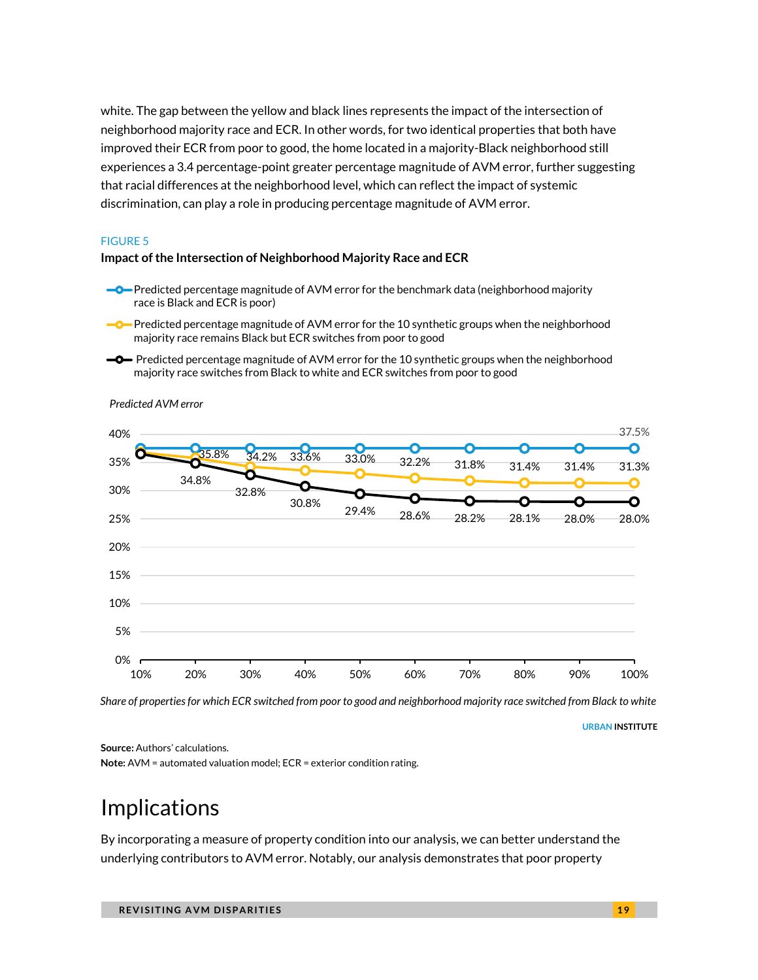white. The gap between the yellow and black lines represents the impact of the intersection of neighborhood majority race and ECR. In other words, for two identical properties that both have improved their ECR from poor to good, the home located in a majority-Black neighborhood still experiences a 3.4 percentage-point greater percentage magnitude of AVM error, further suggesting that racial differences at the neighborhood level, which can reflect the impact of systemic discrimination, can play a role in producing percentage magnitude of AVM error.

#### FIGURE 5

#### **Impact of the Intersection of Neighborhood Majority Race and ECR**

- **-O**-Predicted percentage magnitude of AVM error for the benchmark data (neighborhood majority race is Black and ECR is poor)
- **P**-Predicted percentage magnitude of AVM error for the 10 synthetic groups when the neighborhood majority race remains Black but ECR switches from poor to good
- **-O** Predicted percentage magnitude of AVM error for the 10 synthetic groups when the neighborhood majority race switches from Black to white and ECR switches from poor to good



*Predicted AVM error*

*Share of properties for which ECR switched from poor to good and neighborhood majority race switched from Black to white*

**URBAN INSTITUTE**

**Source:** Authors' calculations.

**Note:** AVM = automated valuation model; ECR = exterior condition rating.

## Implications

By incorporating a measure of property condition into our analysis, we can better understand the underlying contributors to AVM error. Notably, our analysis demonstrates that poor property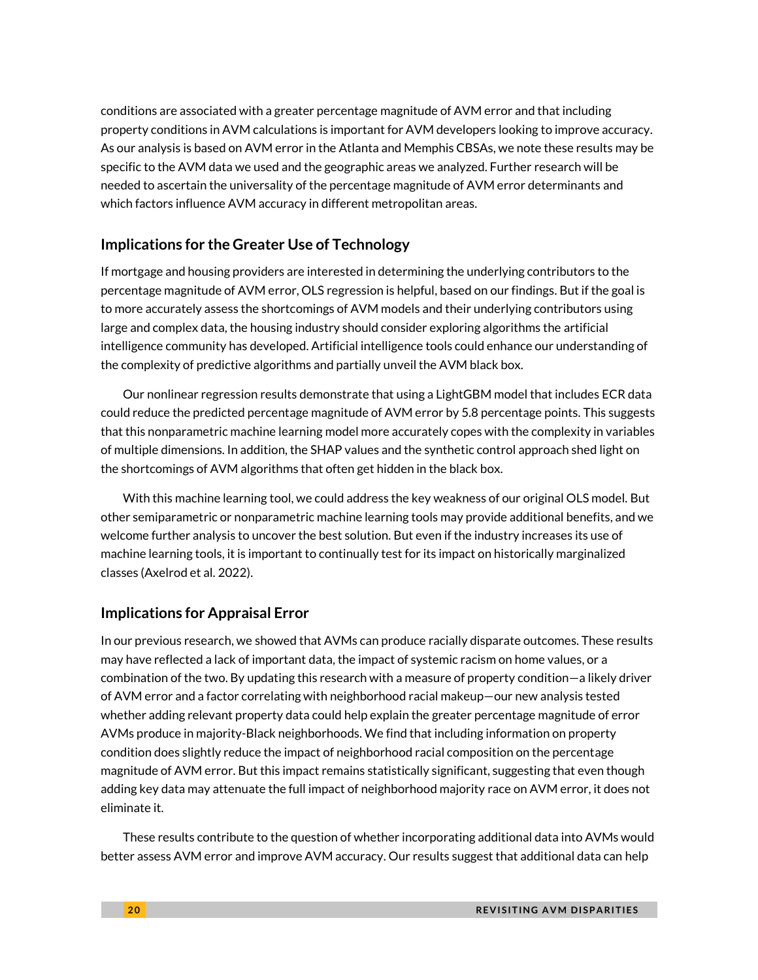conditions are associated with a greater percentage magnitude of AVM error and that including property conditions in AVM calculations is important for AVM developers looking to improve accuracy. As our analysis is based on AVM error in the Atlanta and Memphis CBSAs, we note these results may be specific to the AVM data we used and the geographic areas we analyzed. Further research will be needed to ascertain the universality of the percentage magnitude of AVM error determinants and which factors influence AVM accuracy in different metropolitan areas.

### **Implications for the Greater Use of Technology**

If mortgage and housing providers are interested in determining the underlying contributors to the percentage magnitude of AVM error, OLS regression is helpful, based on our findings. But if the goal is to more accurately assess the shortcomings of AVM models and their underlying contributors using large and complex data, the housing industry should consider exploring algorithms the artificial intelligence community has developed. Artificial intelligence tools could enhance our understanding of the complexity of predictive algorithms and partially unveil the AVM black box.

Our nonlinear regression results demonstrate that using a LightGBM model that includes ECR data could reduce the predicted percentage magnitude of AVM error by 5.8 percentage points. This suggests that this nonparametric machine learning model more accurately copes with the complexity in variables of multiple dimensions. In addition, the SHAP values and the synthetic control approach shed light on the shortcomings of AVM algorithms that often get hidden in the black box.

With this machine learning tool, we could address the key weakness of our original OLS model. But other semiparametric or nonparametric machine learning tools may provide additional benefits, and we welcome further analysis to uncover the best solution. But even if the industry increases its use of machine learning tools, it is important to continually test for its impact on historically marginalized classes (Axelrod et al. 2022).

### **Implications for Appraisal Error**

In our previous research, we showed that AVMs can produce racially disparate outcomes. These results may have reflected a lack of important data, the impact of systemic racism on home values, or a combination of the two. By updating this research with a measure of property condition—a likely driver of AVM error and a factor correlating with neighborhood racial makeup—our new analysis tested whether adding relevant property data could help explain the greater percentage magnitude of error AVMs produce in majority-Black neighborhoods. We find that including information on property condition does slightly reduce the impact of neighborhood racial composition on the percentage magnitude of AVM error. But this impact remains statistically significant, suggesting that even though adding key data may attenuate the full impact of neighborhood majority race on AVM error, it does not eliminate it.

These results contribute to the question of whether incorporating additional data into AVMs would better assess AVM error and improve AVM accuracy. Our results suggest that additional data can help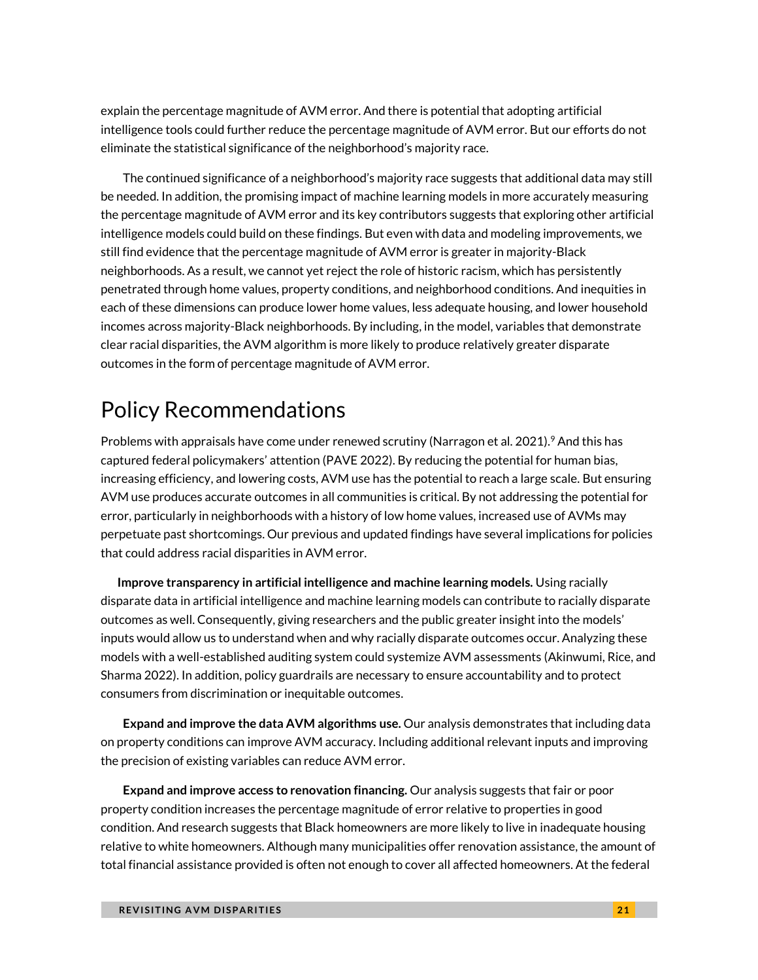explain the percentage magnitude of AVM error. And there is potential that adopting artificial intelligence tools could further reduce the percentage magnitude of AVM error. But our efforts do not eliminate the statistical significance of the neighborhood's majority race.

The continued significance of a neighborhood's majority race suggests that additional data may still be needed. In addition, the promising impact of machine learning models in more accurately measuring the percentage magnitude of AVM error and its key contributors suggests that exploring other artificial intelligence models could build on these findings. But even with data and modeling improvements, we still find evidence that the percentage magnitude of AVM error is greater in majority-Black neighborhoods. As a result, we cannot yet reject the role of historic racism, which has persistently penetrated through home values, property conditions, and neighborhood conditions. And inequities in each of these dimensions can produce lower home values, less adequate housing, and lower household incomes across majority-Black neighborhoods. By including, in the model, variables that demonstrate clear racial disparities, the AVM algorithm is more likely to produce relatively greater disparate outcomes in the form of percentage magnitude of AVM error.

## Policy Recommendations

Problems with appraisals have come under renewed scrutiny (Narragon et al. 2021). <sup>9</sup> And this has captured federal policymakers' attention (PAVE 2022). By reducing the potential for human bias, increasing efficiency, and lowering costs, AVM use has the potential to reach a large scale. But ensuring AVM use produces accurate outcomes in all communities is critical. By not addressing the potential for error, particularly in neighborhoods with a history of low home values, increased use of AVMs may perpetuate past shortcomings. Our previous and updated findings have several implications for policies that could address racial disparities in AVM error.

 **Improve transparency in artificial intelligence and machine learning models.** Using racially disparate data in artificial intelligence and machine learning models can contribute to racially disparate outcomes as well. Consequently, giving researchers and the public greater insight into the models' inputs would allow us to understand when and why racially disparate outcomes occur. Analyzing these models with a well-established auditing system could systemize AVM assessments (Akinwumi, Rice, and Sharma 2022). In addition, policy guardrails are necessary to ensure accountability and to protect consumers from discrimination or inequitable outcomes.

**Expand and improve the data AVM algorithms use.** Our analysis demonstrates that including data on property conditions can improve AVM accuracy. Including additional relevant inputs and improving the precision of existing variables can reduce AVM error.

**Expand and improve access to renovation financing.** Our analysis suggests that fair or poor property condition increases the percentage magnitude of error relative to properties in good condition. And research suggests that Black homeowners are more likely to live in inadequate housing relative to white homeowners. Although many municipalities offer renovation assistance, the amount of total financial assistance provided is often not enough to cover all affected homeowners. At the federal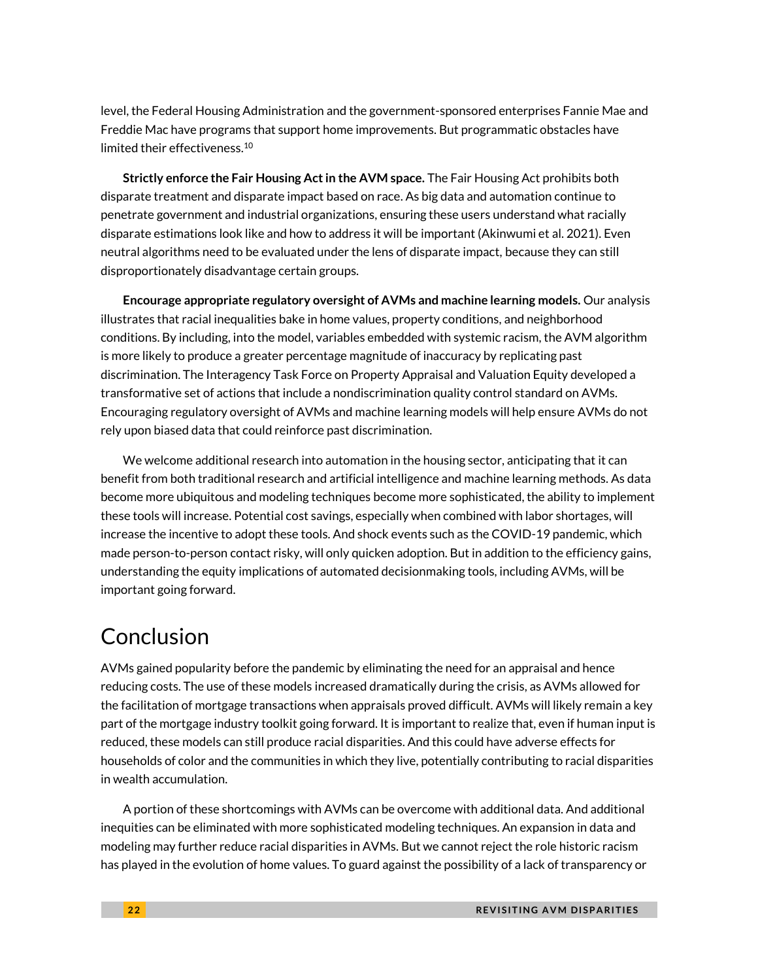level, the Federal Housing Administration and the government-sponsored enterprises Fannie Mae and Freddie Mac have programs that support home improvements. But programmatic obstacles have limited their effectiveness. 10

**Strictly enforce the Fair Housing Act in the AVM space.** The Fair Housing Act prohibits both disparate treatment and disparate impact based on race. As big data and automation continue to penetrate government and industrial organizations, ensuring these users understand what racially disparate estimations look like and how to address it will be important (Akinwumi et al. 2021). Even neutral algorithms need to be evaluated under the lens of disparate impact, because they can still disproportionately disadvantage certain groups.

**Encourage appropriate regulatory oversight of AVMs and machine learning models.** Our analysis illustrates that racial inequalities bake in home values, property conditions, and neighborhood conditions. By including, into the model, variables embedded with systemic racism, the AVM algorithm is more likely to produce a greater percentage magnitude of inaccuracy by replicating past discrimination. The Interagency Task Force on Property Appraisal and Valuation Equity developed a transformative set of actions that include a nondiscrimination quality control standard on AVMs. Encouraging regulatory oversight of AVMs and machine learning models will help ensure AVMs do not rely upon biased data that could reinforce past discrimination.

We welcome additional research into automation in the housing sector, anticipating that it can benefit from both traditional research and artificial intelligence and machine learning methods. As data become more ubiquitous and modeling techniques become more sophisticated, the ability to implement these tools will increase. Potential cost savings, especially when combined with labor shortages, will increase the incentive to adopt these tools. And shock events such as the COVID-19 pandemic, which made person-to-person contact risky, will only quicken adoption. But in addition to the efficiency gains, understanding the equity implications of automated decisionmaking tools, including AVMs, will be important going forward.

## Conclusion

AVMs gained popularity before the pandemic by eliminating the need for an appraisal and hence reducing costs. The use of these models increased dramatically during the crisis, as AVMs allowed for the facilitation of mortgage transactions when appraisals proved difficult. AVMs will likely remain a key part of the mortgage industry toolkit going forward. It is important to realize that, even if human input is reduced, these models can still produce racial disparities. And this could have adverse effects for households of color and the communities in which they live, potentially contributing to racial disparities in wealth accumulation.

A portion of these shortcomings with AVMs can be overcome with additional data. And additional inequities can be eliminated with more sophisticated modeling techniques. An expansion in data and modeling may further reduce racial disparities in AVMs. But we cannot reject the role historic racism has played in the evolution of home values. To guard against the possibility of a lack of transparency or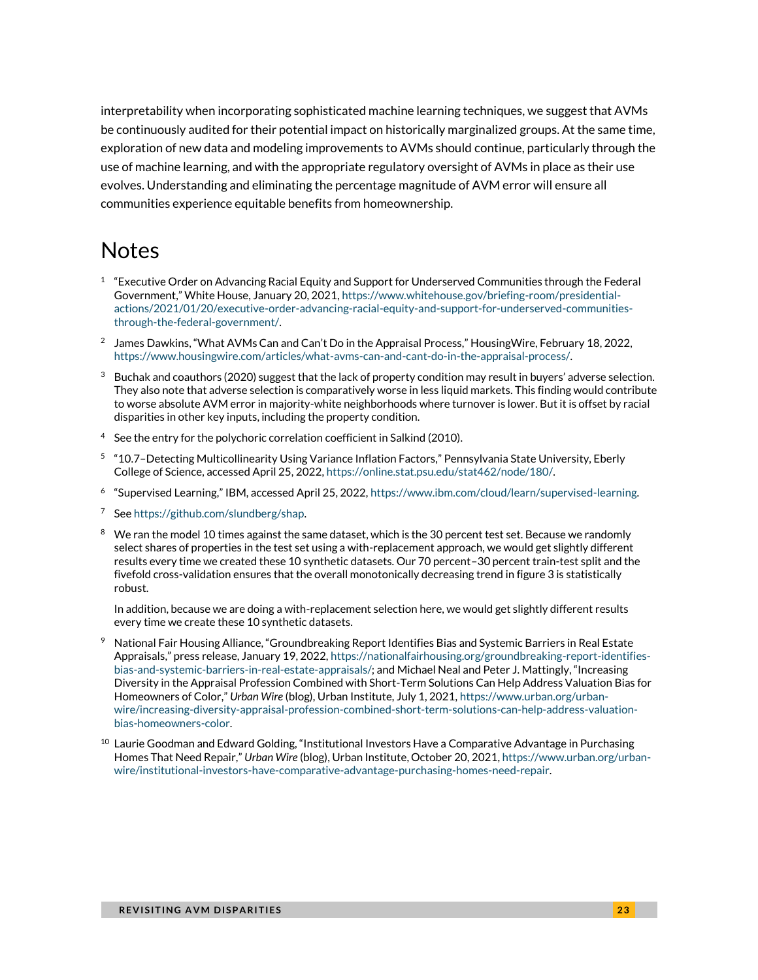interpretability when incorporating sophisticated machine learning techniques, we suggest that AVMs be continuously audited for their potential impact on historically marginalized groups. At the same time, exploration of new data and modeling improvements to AVMs should continue, particularly through the use of machine learning, and with the appropriate regulatory oversight of AVMs in place as their use evolves. Understanding and eliminating the percentage magnitude of AVM error will ensure all communities experience equitable benefits from homeownership.

## **Notes**

- $1$  "Executive Order on Advancing Racial Equity and Support for Underserved Communities through the Federal Government," White House, January 20, 2021, [https://www.whitehouse.gov/briefing-room/presidential](https://www.whitehouse.gov/briefing-room/presidential-actions/2021/01/20/executive-order-advancing-racial-equity-and-support-for-underserved-communities-through-the-federal-government/)[actions/2021/01/20/executive-order-advancing-racial-equity-and-support-for-underserved-communities](https://www.whitehouse.gov/briefing-room/presidential-actions/2021/01/20/executive-order-advancing-racial-equity-and-support-for-underserved-communities-through-the-federal-government/)[through-the-federal-government/.](https://www.whitehouse.gov/briefing-room/presidential-actions/2021/01/20/executive-order-advancing-racial-equity-and-support-for-underserved-communities-through-the-federal-government/)
- $^2$  James Dawkins, "What AVMs Can and Can't Do in the Appraisal Process," HousingWire, February 18, 2022, [https://www.housingwire.com/articles/what-avms-can-and-cant-do-in-the-appraisal-process/.](https://www.housingwire.com/articles/what-avms-can-and-cant-do-in-the-appraisal-process/)
- $3$  Buchak and coauthors (2020) suggest that the lack of property condition may result in buyers' adverse selection. They also note that adverse selection is comparatively worse in less liquid markets. This finding would contribute to worse absolute AVM error in majority-white neighborhoods where turnover is lower. But it is offset by racial disparities in other key inputs, including the property condition.
- $4$  See the entry for the polychoric correlation coefficient in Salkind (2010).
- 5 "10.7–Detecting Multicollinearity Using Variance Inflation Factors," Pennsylvania State University, Eberly College of Science, accessed April 25, 2022[, https://online.stat.psu.edu/stat462/node/180/.](https://online.stat.psu.edu/stat462/node/180/)
- 6 "Supervised Learning," IBM, accessed April 25, 2022, [https://www.ibm.com/cloud/learn/supervised-learning.](https://www.ibm.com/cloud/learn/supervised-learning)
- <sup>7</sup> Se[e https://github.com/slundberg/shap.](https://github.com/slundberg/shap)
- <sup>8</sup> We ran the model 10 times against the same dataset, which is the 30 percent test set. Because we randomly select shares of properties in the test set using a with-replacement approach, we would get slightly different results every time we created these 10 synthetic datasets. Our 70 percent–30 percent train-test split and the fivefold cross-validation ensures that the overall monotonically decreasing trend in figure 3 is statistically robust.

In addition, because we are doing a with-replacement selection here, we would get slightly different results every time we create these 10 synthetic datasets.

- $9$  National Fair Housing Alliance, "Groundbreaking Report Identifies Bias and Systemic Barriers in Real Estate Appraisals," press release, January 19, 2022, [https://nationalfairhousing.org/groundbreaking-report-identifies](https://nationalfairhousing.org/groundbreaking-report-identifies-bias-and-systemic-barriers-in-real-estate-appraisals/)[bias-and-systemic-barriers-in-real-estate-appraisals/](https://nationalfairhousing.org/groundbreaking-report-identifies-bias-and-systemic-barriers-in-real-estate-appraisals/); and Michael Neal and Peter J. Mattingly, "Increasing Diversity in the Appraisal Profession Combined with Short-Term Solutions Can Help Address Valuation Bias for Homeowners of Color," *Urban Wire* (blog), Urban Institute, July 1, 2021[, https://www.urban.org/urban](https://www.urban.org/urban-wire/increasing-diversity-appraisal-profession-combined-short-term-solutions-can-help-address-valuation-bias-homeowners-color)[wire/increasing-diversity-appraisal-profession-combined-short-term-solutions-can-help-address-valuation](https://www.urban.org/urban-wire/increasing-diversity-appraisal-profession-combined-short-term-solutions-can-help-address-valuation-bias-homeowners-color)[bias-homeowners-color.](https://www.urban.org/urban-wire/increasing-diversity-appraisal-profession-combined-short-term-solutions-can-help-address-valuation-bias-homeowners-color)
- $^{10}$  Laurie Goodman and Edward Golding, "Institutional Investors Have a Comparative Advantage in Purchasing Homes That Need Repair," *Urban Wire* (blog), Urban Institute, October 20, 2021[, https://www.urban.org/urban](https://www.urban.org/urban-wire/institutional-investors-have-comparative-advantage-purchasing-homes-need-repair)[wire/institutional-investors-have-comparative-advantage-purchasing-homes-need-repair.](https://www.urban.org/urban-wire/institutional-investors-have-comparative-advantage-purchasing-homes-need-repair)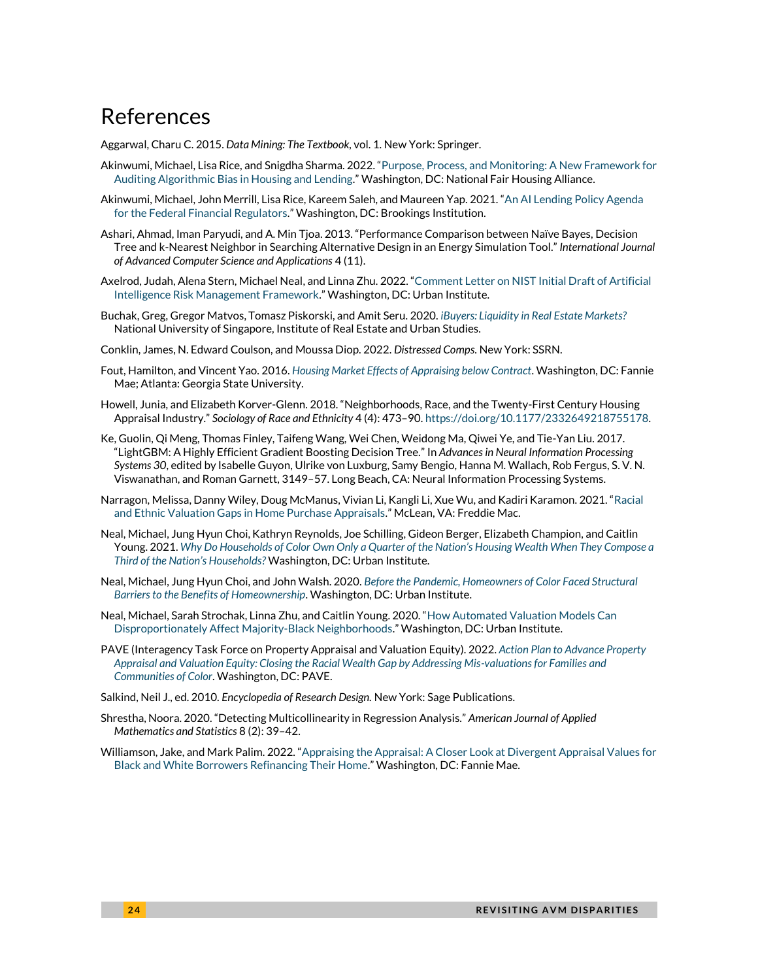### References

Aggarwal, Charu C. 2015. *Data Mining: The Textbook,* vol. 1. New York: Springer.

- Akinwumi, Michael, Lisa Rice, and Snigdha Sharma. 2022. "[Purpose, Process, and Monitoring: A New Framework for](https://nationalfairhousing.org/wp-content/uploads/2022/02/PPM_Framework_02_17_2022.pdf)  [Auditing Algorithmic Bias in Housing and Lending](https://nationalfairhousing.org/wp-content/uploads/2022/02/PPM_Framework_02_17_2022.pdf)." Washington, DC: National Fair Housing Alliance.
- Akinwumi, Michael, John Merrill, Lisa Rice, Kareem Saleh, and Maureen Yap. 2021. "[An AI Lending Policy Agenda](https://www.brookings.edu/research/an-ai-fair-lending-policy-agenda-for-the-federal-financial-regulators/)  [for the Federal Financial Regulators.](https://www.brookings.edu/research/an-ai-fair-lending-policy-agenda-for-the-federal-financial-regulators/)" Washington, DC: Brookings Institution.
- Ashari, Ahmad, Iman Paryudi, and A. Min Tjoa. 2013. "Performance Comparison between Naïve Bayes, Decision Tree and k-Nearest Neighbor in Searching Alternative Design in an Energy Simulation Tool." *International Journal of Advanced Computer Science and Applications* 4 (11).
- Axelrod, Judah, Alena Stern, Michael Neal, and Linna Zhu. 2022. "[Comment Letter on NIST Initial Draft of Artificial](https://www.urban.org/sites/default/files/2022-05/Comment%20Letter%20on%20NIST%20Initial%20Draft%20of%20Artificial%20Intelligence%20Risk%20Management%20Framework_0.pdf)  [Intelligence Risk Management Framework](https://www.urban.org/sites/default/files/2022-05/Comment%20Letter%20on%20NIST%20Initial%20Draft%20of%20Artificial%20Intelligence%20Risk%20Management%20Framework_0.pdf)." Washington, DC: Urban Institute.
- Buchak, Greg, Gregor Matvos, Tomasz Piskorski, and Amit Seru. 2020. *[iBuyers: Liquidity in Real Estate Markets?](https://ireus.nus.edu.sg/wp-content/uploads/2020/10/iBuyers-Liquidity-in-Real-Estate-Markets-by-Tomasz-Piskorski-.pdf)* National University of Singapore, Institute of Real Estate and Urban Studies.
- Conklin, James, N. Edward Coulson, and Moussa Diop. 2022. *Distressed Comps*. New York: SSRN.
- Fout, Hamilton, and Vincent Yao. 2016. *[Housing Market Effects of Appraising below Contract](https://www.researchgate.net/profile/Vincent-Yao-2/publication/298807852_Housing_Market_Effects_of_Appraising_Below_Contract/links/57c04c7508ae2f5eb3321d07/Housing-Market-Effects-of-Appraising-Below-Contract.pdf)*. Washington, DC: Fannie Mae; Atlanta: Georgia State University.
- Howell, Junia, and Elizabeth Korver-Glenn. 2018. "Neighborhoods, Race, and the Twenty-First Century Housing Appraisal Industry." *Sociology of Race and Ethnicity* 4 (4): 473–90[. https://doi.org/10.1177/2332649218755178.](https://doi.org/10.1177%2F2332649218755178)
- Ke, Guolin, Qi Meng, Thomas Finley, Taifeng Wang, Wei Chen, Weidong Ma, Qiwei Ye, and Tie-Yan Liu. 2017. "LightGBM: A Highly Efficient Gradient Boosting Decision Tree." In *Advances in Neural Information Processing Systems 30*, edited by Isabelle Guyon, Ulrike von Luxburg, Samy Bengio, Hanna M. Wallach, Rob Fergus, S. V. N. Viswanathan, and Roman Garnett, 3149–57. Long Beach, CA: Neural Information Processing Systems.
- Narragon, Melissa, Danny Wiley, Doug McManus, Vivian Li, Kangli Li, Xue Wu, and Kadiri Karamon. 2021. "[Racial](https://www.freddiemac.com/research/insight/20210920-home-appraisals)  [and Ethnic Valuation Gaps in Home Purchase Appraisals](https://www.freddiemac.com/research/insight/20210920-home-appraisals)." McLean, VA: Freddie Mac.
- Neal, Michael, Jung Hyun Choi, Kathryn Reynolds, Joe Schilling, Gideon Berger, Elizabeth Champion, and Caitlin Young. 2021. *[Why Do Households of Color Own Only a Quarter of the Nation's Housing Wealth When They Compose a](https://www.urban.org/sites/default/files/publication/105020/why-do-households-of-color-own-only-a-quarter-of-the-nations-housing-wealth-when-they-compose-a-third-of-the-nations-households.pdf)  [Third of the Nation's Households?](https://www.urban.org/sites/default/files/publication/105020/why-do-households-of-color-own-only-a-quarter-of-the-nations-housing-wealth-when-they-compose-a-third-of-the-nations-households.pdf)* Washington, DC: Urban Institute.
- Neal, Michael, Jung Hyun Choi, and John Walsh. 2020. *[Before the Pandemic, Homeowners of Color Faced Structural](https://www.urban.org/sites/default/files/publication/102781/before-the-pandemic-homeowners-of-color-faced-structural-barriers-to-the-benefits-of-homeownership.pdf)  [Barriers to the Benefits of Homeownership](https://www.urban.org/sites/default/files/publication/102781/before-the-pandemic-homeowners-of-color-faced-structural-barriers-to-the-benefits-of-homeownership.pdf)*. Washington, DC: Urban Institute.
- Neal, Michael, Sarah Strochak, Linna Zhu, and Caitlin Young. 2020. "[How Automated Valuation Models Can](https://www.urban.org/sites/default/files/publication/103429/how-automated-valuation-models-can-disproportionately-affect-majority-black-neighborhoods_1.pdf)  [Disproportionately Affect Majority-Black Neighborhoods](https://www.urban.org/sites/default/files/publication/103429/how-automated-valuation-models-can-disproportionately-affect-majority-black-neighborhoods_1.pdf)." Washington, DC: Urban Institute.
- PAVE (Interagency Task Force on Property Appraisal and Valuation Equity). 2022. *[Action Plan to Advance Property](https://pave.hud.gov/sites/pave.hud.gov/files/documents/PAVEActionPlan.pdf)  [Appraisal and Valuation Equity: Closing the Racial Wealth Gap by Addressing Mis-valuations for Families](https://pave.hud.gov/sites/pave.hud.gov/files/documents/PAVEActionPlan.pdf) and [Communities of Color](https://pave.hud.gov/sites/pave.hud.gov/files/documents/PAVEActionPlan.pdf)*. Washington, DC: PAVE.

Salkind, Neil J., ed. 2010. *Encyclopedia of Research Design.* New York: Sage Publications.

- Shrestha, Noora. 2020. "Detecting Multicollinearity in Regression Analysis." *American Journal of Applied Mathematics and Statistics* 8 (2): 39–42.
- Williamson, Jake, and Mark Palim. 2022. "[Appraising the Appraisal: A Closer Look at Divergent Appraisal Values for](https://www.fanniemae.com/media/42541/display)  [Black and White Borrowers Refinancing Their Home](https://www.fanniemae.com/media/42541/display)." Washington, DC: Fannie Mae.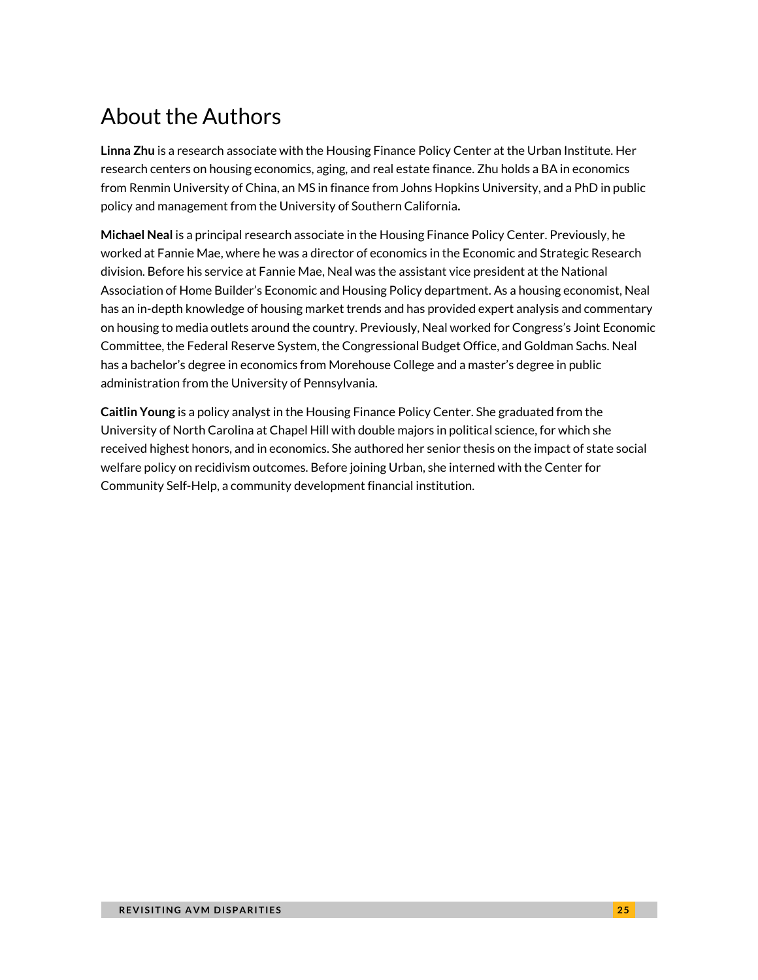## About the Authors

**Linna Zhu** is a research associate with the Housing Finance Policy Center at the Urban Institute. Her research centers on housing economics, aging, and real estate finance. Zhu holds a BA in economics from Renmin University of China, an MS in finance from Johns Hopkins University, and a PhD in public policy and management from the University of Southern California**.**

**Michael Neal** is a principal research associate in the Housing Finance Policy Center. Previously, he worked at Fannie Mae, where he was a director of economics in the Economic and Strategic Research division. Before his service at Fannie Mae, Neal was the assistant vice president at the National Association of Home Builder's Economic and Housing Policy department. As a housing economist, Neal has an in-depth knowledge of housing market trends and has provided expert analysis and commentary on housing to media outlets around the country. Previously, Neal worked for Congress's Joint Economic Committee, the Federal Reserve System, the Congressional Budget Office, and Goldman Sachs. Neal has a bachelor's degree in economics from Morehouse College and a master's degree in public administration from the University of Pennsylvania.

**Caitlin Young** is a policy analyst in the Housing Finance Policy Center. She graduated from the University of North Carolina at Chapel Hill with double majors in political science, for which she received highest honors, and in economics. She authored her senior thesis on the impact of state social welfare policy on recidivism outcomes. Before joining Urban, she interned with the Center for Community Self-Help, a community development financial institution.